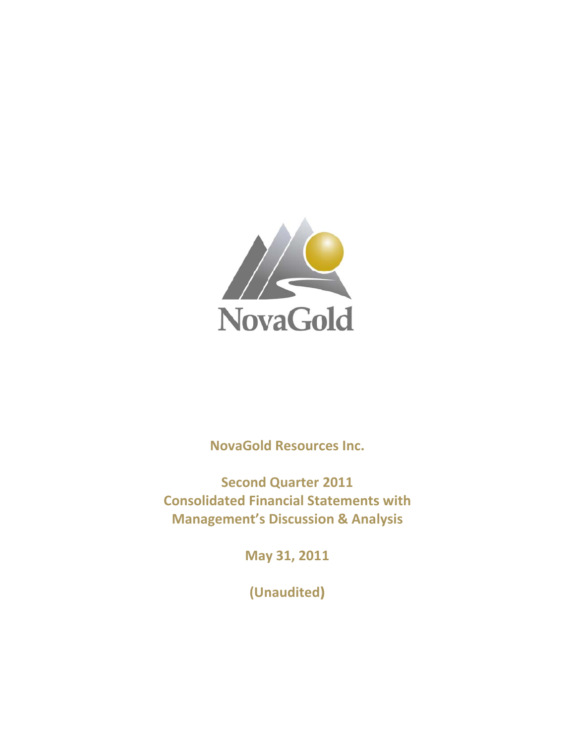

**NovaGold Resources Inc.** 

**Consolidated Financial Statements with Manag ement's Discussio on & Ana lysisSecond Quarter 2011**

**May y 31, 201 1**

**(Un naudited) )**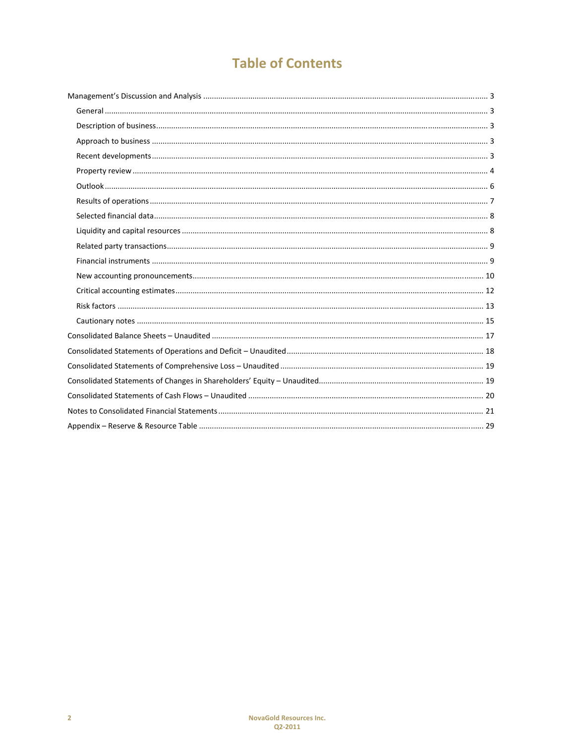# **Table of Contents**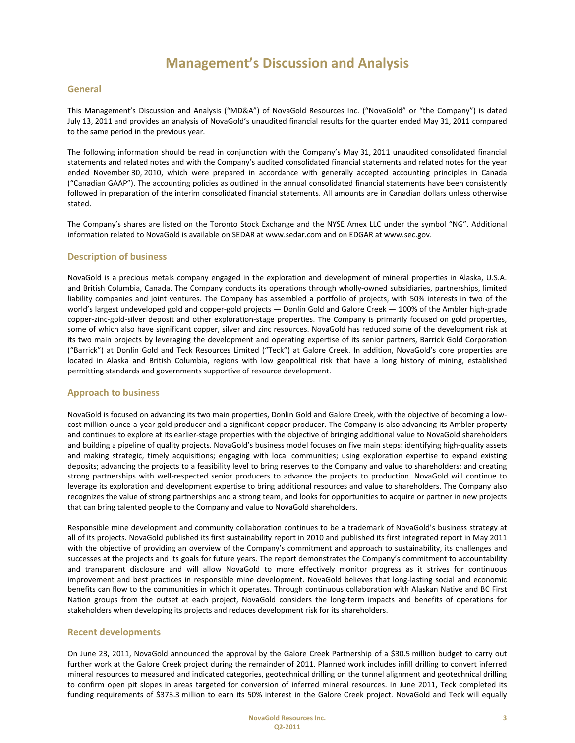### **General**

This Management's Discussion and Analysis ("MD&A") of NovaGold Resources Inc. ("NovaGold" or "the Company") is dated July 13, 2011 and provides an analysis of NovaGold's unaudited financial results for the quarter ended May 31, 2011 compared to the same period in the previous year.

The following information should be read in conjunction with the Company's May 31, 2011 unaudited consolidated financial statements and related notes and with the Company's audited consolidated financial statements and related notes for the year ended November 30, 2010, which were prepared in accordance with generally accepted accounting principles in Canada ("Canadian GAAP"). The accounting policies as outlined in the annual consolidated financial statements have been consistently followed in preparation of the interim consolidated financial statements. All amounts are in Canadian dollars unless otherwise stated.

The Company's shares are listed on the Toronto Stock Exchange and the NYSE Amex LLC under the symbol "NG". Additional information related to NovaGold is available on SEDAR at www.sedar.com and on EDGAR at www.sec.gov.

### **Description of business**

NovaGold is a precious metals company engaged in the exploration and development of mineral properties in Alaska, U.S.A. and British Columbia, Canada. The Company conducts its operations through wholly-owned subsidiaries, partnerships, limited liability companies and joint ventures. The Company has assembled a portfolio of projects, with 50% interests in two of the world's largest undeveloped gold and copper-gold projects — Donlin Gold and Galore Creek — 100% of the Ambler high-grade copper-zinc-gold-silver deposit and other exploration-stage properties. The Company is primarily focused on gold properties, some of which also have significant copper, silver and zinc resources. NovaGold has reduced some of the development risk at its two main projects by leveraging the development and operating expertise of its senior partners, Barrick Gold Corporation ("Barrick") at Donlin Gold and Teck Resources Limited ("Teck") at Galore Creek. In addition, NovaGold's core properties are located in Alaska and British Columbia, regions with low geopolitical risk that have a long history of mining, established permitting standards and governments supportive of resource development.

### **Approach to business**

NovaGold is focused on advancing its two main properties, Donlin Gold and Galore Creek, with the objective of becoming a low‐ cost million-ounce-a-year gold producer and a significant copper producer. The Company is also advancing its Ambler property and continues to explore at its earlier‐stage properties with the objective of bringing additional value to NovaGold shareholders and building a pipeline of quality projects. NovaGold's business model focuses on five main steps: identifying high‐quality assets and making strategic, timely acquisitions; engaging with local communities; using exploration expertise to expand existing deposits; advancing the projects to a feasibility level to bring reserves to the Company and value to shareholders; and creating strong partnerships with well‐respected senior producers to advance the projects to production. NovaGold will continue to leverage its exploration and development expertise to bring additional resources and value to shareholders. The Company also recognizes the value of strong partnerships and a strong team, and looks for opportunities to acquire or partner in new projects that can bring talented people to the Company and value to NovaGold shareholders.

Responsible mine development and community collaboration continues to be a trademark of NovaGold's business strategy at all of its projects. NovaGold published its first sustainability report in 2010 and published its first integrated report in May 2011 with the objective of providing an overview of the Company's commitment and approach to sustainability, its challenges and successes at the projects and its goals for future years. The report demonstrates the Company's commitment to accountability and transparent disclosure and will allow NovaGold to more effectively monitor progress as it strives for continuous improvement and best practices in responsible mine development. NovaGold believes that long-lasting social and economic benefits can flow to the communities in which it operates. Through continuous collaboration with Alaskan Native and BC First Nation groups from the outset at each project, NovaGold considers the long-term impacts and benefits of operations for stakeholders when developing its projects and reduces development risk for its shareholders.

### **Recent developments**

On June 23, 2011, NovaGold announced the approval by the Galore Creek Partnership of a \$30.5 million budget to carry out further work at the Galore Creek project during the remainder of 2011. Planned work includes infill drilling to convert inferred mineral resources to measured and indicated categories, geotechnical drilling on the tunnel alignment and geotechnical drilling to confirm open pit slopes in areas targeted for conversion of inferred mineral resources. In June 2011, Teck completed its funding requirements of \$373.3 million to earn its 50% interest in the Galore Creek project. NovaGold and Teck will equally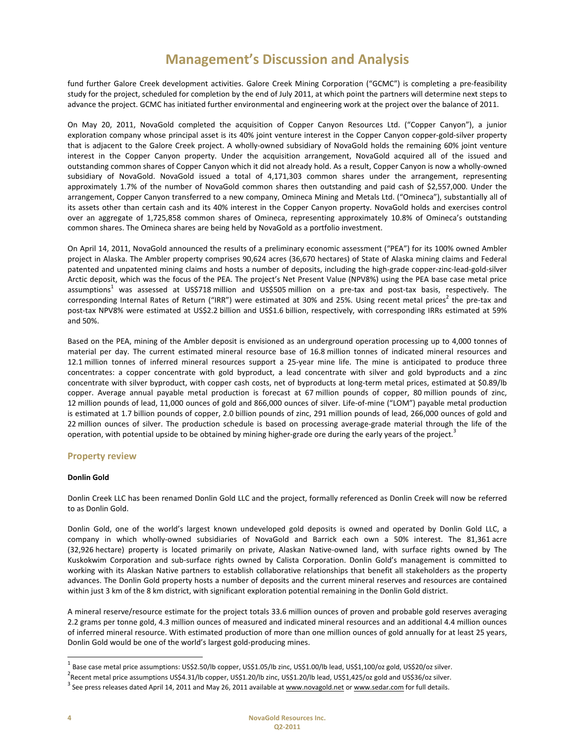fund further Galore Creek development activities. Galore Creek Mining Corporation ("GCMC") is completing a pre-feasibility study for the project, scheduled for completion by the end of July 2011, at which point the partners will determine next steps to advance the project. GCMC has initiated further environmental and engineering work at the project over the balance of 2011.

On May 20, 2011, NovaGold completed the acquisition of Copper Canyon Resources Ltd. ("Copper Canyon"), a junior exploration company whose principal asset is its 40% joint venture interest in the Copper Canyon copper-gold-silver property that is adjacent to the Galore Creek project. A wholly-owned subsidiary of NovaGold holds the remaining 60% joint venture interest in the Copper Canyon property. Under the acquisition arrangement, NovaGold acquired all of the issued and outstanding common shares of Copper Canyon which it did not already hold. As a result, Copper Canyon is now a wholly‐owned subsidiary of NovaGold. NovaGold issued a total of 4,171,303 common shares under the arrangement, representing approximately 1.7% of the number of NovaGold common shares then outstanding and paid cash of \$2,557,000. Under the arrangement, Copper Canyon transferred to a new company, Omineca Mining and Metals Ltd. ("Omineca"), substantially all of its assets other than certain cash and its 40% interest in the Copper Canyon property. NovaGold holds and exercises control over an aggregate of 1,725,858 common shares of Omineca, representing approximately 10.8% of Omineca's outstanding common shares. The Omineca shares are being held by NovaGold as a portfolio investment.

On April 14, 2011, NovaGold announced the results of a preliminary economic assessment ("PEA") for its 100% owned Ambler project in Alaska. The Ambler property comprises 90,624 acres (36,670 hectares) of State of Alaska mining claims and Federal patented and unpatented mining claims and hosts a number of deposits, including the high‐grade copper‐zinc‐lead‐gold‐silver Arctic deposit, which was the focus of the PEA. The project's Net Present Value (NPV8%) using the PEA base case metal price assumptions<sup>1</sup> was assessed at US\$718 million and US\$505 million on a pre-tax and post-tax basis, respectively. The corresponding Internal Rates of Return ("IRR") were estimated at 30% and 25%. Using recent metal prices<sup>2</sup> the pre-tax and post-tax NPV8% were estimated at US\$2.2 billion and US\$1.6 billion, respectively, with corresponding IRRs estimated at 59% and 50%.

Based on the PEA, mining of the Ambler deposit is envisioned as an underground operation processing up to 4,000 tonnes of material per day. The current estimated mineral resource base of 16.8 million tonnes of indicated mineral resources and 12.1 million tonnes of inferred mineral resources support a 25‐year mine life. The mine is anticipated to produce three concentrates: a copper concentrate with gold byproduct, a lead concentrate with silver and gold byproducts and a zinc concentrate with silver byproduct, with copper cash costs, net of byproducts at long-term metal prices, estimated at \$0.89/lb copper. Average annual payable metal production is forecast at 67 million pounds of copper, 80 million pounds of zinc, 12 million pounds of lead, 11,000 ounces of gold and 866,000 ounces of silver. Life-of-mine ("LOM") payable metal production is estimated at 1.7 billion pounds of copper, 2.0 billion pounds of zinc, 291 million pounds of lead, 266,000 ounces of gold and 22 million ounces of silver. The production schedule is based on processing average-grade material through the life of the operation, with potential upside to be obtained by mining higher-grade ore during the early years of the project.<sup>3</sup>

### **Property review**

### **Donlin Gold**

Donlin Creek LLC has been renamed Donlin Gold LLC and the project, formally referenced as Donlin Creek will now be referred to as Donlin Gold.

Donlin Gold, one of the world's largest known undeveloped gold deposits is owned and operated by Donlin Gold LLC, a company in which wholly‐owned subsidiaries of NovaGold and Barrick each own a 50% interest. The 81,361 acre (32,926 hectare) property is located primarily on private, Alaskan Native‐owned land, with surface rights owned by The Kuskokwim Corporation and sub‐surface rights owned by Calista Corporation. Donlin Gold's management is committed to working with its Alaskan Native partners to establish collaborative relationships that benefit all stakeholders as the property advances. The Donlin Gold property hosts a number of deposits and the current mineral reserves and resources are contained within just 3 km of the 8 km district, with significant exploration potential remaining in the Donlin Gold district.

A mineral reserve/resource estimate for the project totals 33.6 million ounces of proven and probable gold reserves averaging 2.2 grams per tonne gold, 4.3 million ounces of measured and indicated mineral resources and an additional 4.4 million ounces of inferred mineral resource. With estimated production of more than one million ounces of gold annually for at least 25 years, Donlin Gold would be one of the world's largest gold‐producing mines.

<sup>&</sup>lt;sup>1</sup> Base case metal price assumptions: US\$2.50/lb copper, US\$1.05/lb zinc, US\$1.00/lb lead, US\$1,100/oz gold, US\$20/oz silver.<br><sup>2</sup> Recent metal price assumptions US\$4.31/lb copper, US\$1.20/lb zinc, US\$1.20/lb lead, US\$1,4

 $^3$  See press releases dated April 14, 2011 and May 26, 2011 available at www.novagold.net or www.sedar.com for full details.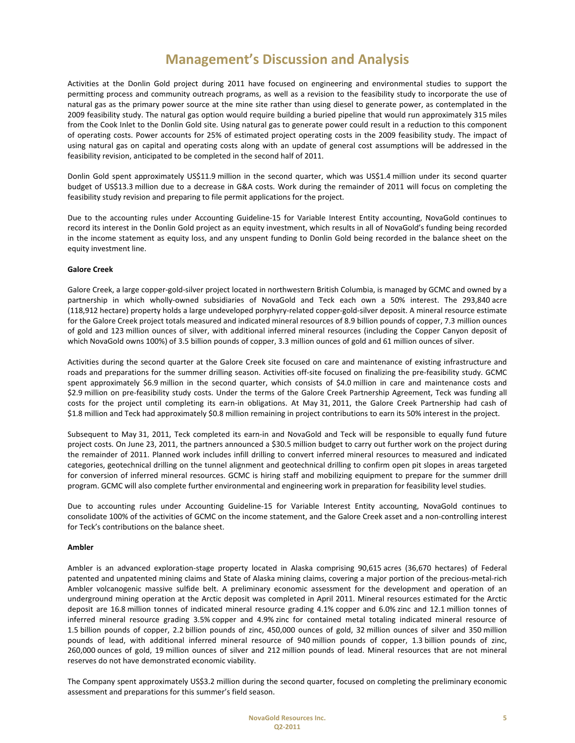Activities at the Donlin Gold project during 2011 have focused on engineering and environmental studies to support the permitting process and community outreach programs, as well as a revision to the feasibility study to incorporate the use of natural gas as the primary power source at the mine site rather than using diesel to generate power, as contemplated in the 2009 feasibility study. The natural gas option would require building a buried pipeline that would run approximately 315 miles from the Cook Inlet to the Donlin Gold site. Using natural gas to generate power could result in a reduction to this component of operating costs. Power accounts for 25% of estimated project operating costs in the 2009 feasibility study. The impact of using natural gas on capital and operating costs along with an update of general cost assumptions will be addressed in the feasibility revision, anticipated to be completed in the second half of 2011.

Donlin Gold spent approximately US\$11.9 million in the second quarter, which was US\$1.4 million under its second quarter budget of US\$13.3 million due to a decrease in G&A costs. Work during the remainder of 2011 will focus on completing the feasibility study revision and preparing to file permit applications for the project.

Due to the accounting rules under Accounting Guideline‐15 for Variable Interest Entity accounting, NovaGold continues to record its interest in the Donlin Gold project as an equity investment, which results in all of NovaGold's funding being recorded in the income statement as equity loss, and any unspent funding to Donlin Gold being recorded in the balance sheet on the equity investment line.

### **Galore Creek**

Galore Creek, a large copper‐gold‐silver project located in northwestern British Columbia, is managed by GCMC and owned by a partnership in which wholly‐owned subsidiaries of NovaGold and Teck each own a 50% interest. The 293,840 acre (118,912 hectare) property holds a large undeveloped porphyry‐related copper‐gold‐silver deposit. A mineral resource estimate for the Galore Creek project totals measured and indicated mineral resources of 8.9 billion pounds of copper, 7.3 million ounces of gold and 123 million ounces of silver, with additional inferred mineral resources (including the Copper Canyon deposit of which NovaGold owns 100%) of 3.5 billion pounds of copper, 3.3 million ounces of gold and 61 million ounces of silver.

Activities during the second quarter at the Galore Creek site focused on care and maintenance of existing infrastructure and roads and preparations for the summer drilling season. Activities off‐site focused on finalizing the pre‐feasibility study. GCMC spent approximately \$6.9 million in the second quarter, which consists of \$4.0 million in care and maintenance costs and \$2.9 million on pre-feasibility study costs. Under the terms of the Galore Creek Partnership Agreement, Teck was funding all costs for the project until completing its earn-in obligations. At May 31, 2011, the Galore Creek Partnership had cash of \$1.8 million and Teck had approximately \$0.8 million remaining in project contributions to earn its 50% interest in the project.

Subsequent to May 31, 2011, Teck completed its earn‐in and NovaGold and Teck will be responsible to equally fund future project costs. On June 23, 2011, the partners announced a \$30.5 million budget to carry out further work on the project during the remainder of 2011. Planned work includes infill drilling to convert inferred mineral resources to measured and indicated categories, geotechnical drilling on the tunnel alignment and geotechnical drilling to confirm open pit slopes in areas targeted for conversion of inferred mineral resources. GCMC is hiring staff and mobilizing equipment to prepare for the summer drill program. GCMC will also complete further environmental and engineering work in preparation for feasibility level studies.

Due to accounting rules under Accounting Guideline‐15 for Variable Interest Entity accounting, NovaGold continues to consolidate 100% of the activities of GCMC on the income statement, and the Galore Creek asset and a non-controlling interest for Teck's contributions on the balance sheet.

### **Ambler**

Ambler is an advanced exploration‐stage property located in Alaska comprising 90,615 acres (36,670 hectares) of Federal patented and unpatented mining claims and State of Alaska mining claims, covering a major portion of the precious-metal-rich Ambler volcanogenic massive sulfide belt. A preliminary economic assessment for the development and operation of an underground mining operation at the Arctic deposit was completed in April 2011. Mineral resources estimated for the Arctic deposit are 16.8 million tonnes of indicated mineral resource grading 4.1% copper and 6.0% zinc and 12.1 million tonnes of inferred mineral resource grading 3.5% copper and 4.9% zinc for contained metal totaling indicated mineral resource of 1.5 billion pounds of copper, 2.2 billion pounds of zinc, 450,000 ounces of gold, 32 million ounces of silver and 350 million pounds of lead, with additional inferred mineral resource of 940 million pounds of copper, 1.3 billion pounds of zinc, 260,000 ounces of gold, 19 million ounces of silver and 212 million pounds of lead. Mineral resources that are not mineral reserves do not have demonstrated economic viability.

The Company spent approximately US\$3.2 million during the second quarter, focused on completing the preliminary economic assessment and preparations for this summer's field season.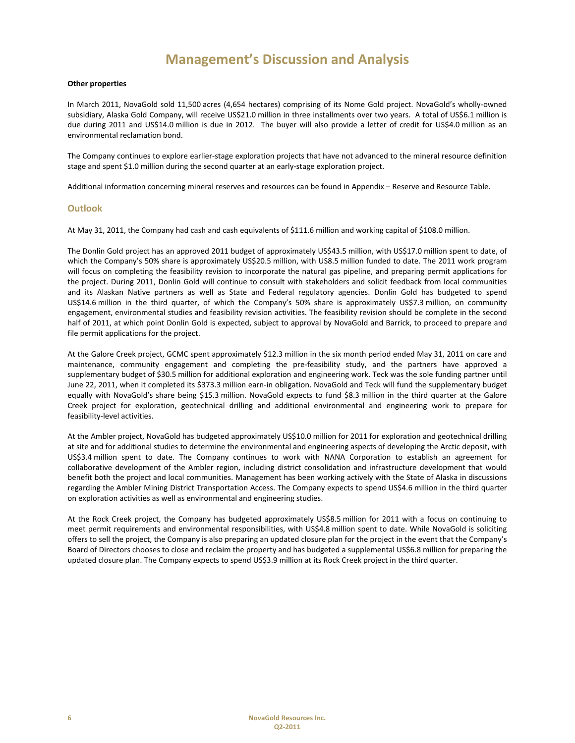#### **Other properties**

In March 2011, NovaGold sold 11,500 acres (4,654 hectares) comprising of its Nome Gold project. NovaGold's wholly‐owned subsidiary, Alaska Gold Company, will receive US\$21.0 million in three installments over two years. A total of US\$6.1 million is due during 2011 and US\$14.0 million is due in 2012. The buyer will also provide a letter of credit for US\$4.0 million as an environmental reclamation bond.

The Company continues to explore earlier‐stage exploration projects that have not advanced to the mineral resource definition stage and spent \$1.0 million during the second quarter at an early‐stage exploration project.

Additional information concerning mineral reserves and resources can be found in Appendix – Reserve and Resource Table.

### **Outlook**

At May 31, 2011, the Company had cash and cash equivalents of \$111.6 million and working capital of \$108.0 million.

The Donlin Gold project has an approved 2011 budget of approximately US\$43.5 million, with US\$17.0 million spent to date, of which the Company's 50% share is approximately US\$20.5 million, with US8.5 million funded to date. The 2011 work program will focus on completing the feasibility revision to incorporate the natural gas pipeline, and preparing permit applications for the project. During 2011, Donlin Gold will continue to consult with stakeholders and solicit feedback from local communities and its Alaskan Native partners as well as State and Federal regulatory agencies. Donlin Gold has budgeted to spend US\$14.6 million in the third quarter, of which the Company's 50% share is approximately US\$7.3 million, on community engagement, environmental studies and feasibility revision activities. The feasibility revision should be complete in the second half of 2011, at which point Donlin Gold is expected, subject to approval by NovaGold and Barrick, to proceed to prepare and file permit applications for the project.

At the Galore Creek project, GCMC spent approximately \$12.3 million in the six month period ended May 31, 2011 on care and maintenance, community engagement and completing the pre‐feasibility study, and the partners have approved a supplementary budget of \$30.5 million for additional exploration and engineering work. Teck was the sole funding partner until June 22, 2011, when it completed its \$373.3 million earn-in obligation. NovaGold and Teck will fund the supplementary budget equally with NovaGold's share being \$15.3 million. NovaGold expects to fund \$8.3 million in the third quarter at the Galore Creek project for exploration, geotechnical drilling and additional environmental and engineering work to prepare for feasibility‐level activities.

At the Ambler project, NovaGold has budgeted approximately US\$10.0 million for 2011 for exploration and geotechnical drilling at site and for additional studies to determine the environmental and engineering aspects of developing the Arctic deposit, with US\$3.4 million spent to date. The Company continues to work with NANA Corporation to establish an agreement for collaborative development of the Ambler region, including district consolidation and infrastructure development that would benefit both the project and local communities. Management has been working actively with the State of Alaska in discussions regarding the Ambler Mining District Transportation Access. The Company expects to spend US\$4.6 million in the third quarter on exploration activities as well as environmental and engineering studies.

At the Rock Creek project, the Company has budgeted approximately US\$8.5 million for 2011 with a focus on continuing to meet permit requirements and environmental responsibilities, with US\$4.8 million spent to date. While NovaGold is soliciting offers to sell the project, the Company is also preparing an updated closure plan for the project in the event that the Company's Board of Directors chooses to close and reclaim the property and has budgeted a supplemental US\$6.8 million for preparing the updated closure plan. The Company expects to spend US\$3.9 million at its Rock Creek project in the third quarter.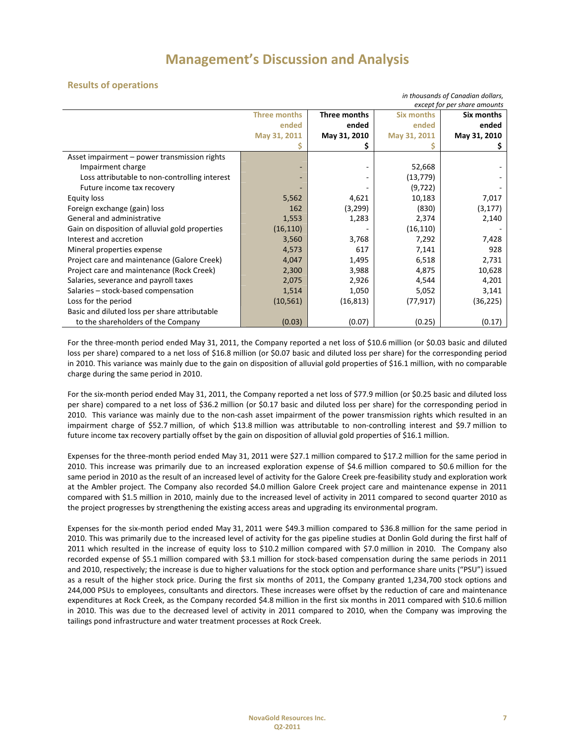## **Results of operations**

| in thousands of Canadian dollars,<br>except for per share amounts |                     |              |                   |              |  |
|-------------------------------------------------------------------|---------------------|--------------|-------------------|--------------|--|
|                                                                   | <b>Three months</b> | Three months | <b>Six months</b> | Six months   |  |
|                                                                   | ended               | ended        | ended             | ended        |  |
|                                                                   | May 31, 2011        | May 31, 2010 | May 31, 2011      | May 31, 2010 |  |
|                                                                   |                     |              |                   |              |  |
| Asset impairment - power transmission rights                      |                     |              |                   |              |  |
| Impairment charge                                                 |                     |              | 52,668            |              |  |
| Loss attributable to non-controlling interest                     |                     |              | (13, 779)         |              |  |
| Future income tax recovery                                        |                     |              | (9, 722)          |              |  |
| Equity loss                                                       | 5,562               | 4,621        | 10,183            | 7,017        |  |
| Foreign exchange (gain) loss                                      | 162                 | (3,299)      | (830)             | (3, 177)     |  |
| General and administrative                                        | 1,553               | 1,283        | 2,374             | 2,140        |  |
| Gain on disposition of alluvial gold properties                   | (16, 110)           |              | (16, 110)         |              |  |
| Interest and accretion                                            | 3,560               | 3,768        | 7,292             | 7,428        |  |
| Mineral properties expense                                        | 4,573               | 617          | 7,141             | 928          |  |
| Project care and maintenance (Galore Creek)                       | 4,047               | 1,495        | 6,518             | 2,731        |  |
| Project care and maintenance (Rock Creek)                         | 2,300               | 3,988        | 4,875             | 10,628       |  |
| Salaries, severance and payroll taxes                             | 2,075               | 2,926        | 4,544             | 4,201        |  |
| Salaries - stock-based compensation                               | 1,514               | 1,050        | 5,052             | 3,141        |  |
| Loss for the period                                               | (10, 561)           | (16, 813)    | (77, 917)         | (36, 225)    |  |
| Basic and diluted loss per share attributable                     |                     |              |                   |              |  |
| to the shareholders of the Company                                | (0.03)              | (0.07)       | (0.25)            | (0.17)       |  |

For the three‐month period ended May 31, 2011, the Company reported a net loss of \$10.6 million (or \$0.03 basic and diluted loss per share) compared to a net loss of \$16.8 million (or \$0.07 basic and diluted loss per share) for the corresponding period in 2010. This variance was mainly due to the gain on disposition of alluvial gold properties of \$16.1 million, with no comparable charge during the same period in 2010.

For the six-month period ended May 31, 2011, the Company reported a net loss of \$77.9 million (or \$0.25 basic and diluted loss per share) compared to a net loss of \$36.2 million (or \$0.17 basic and diluted loss per share) for the corresponding period in 2010. This variance was mainly due to the non‐cash asset impairment of the power transmission rights which resulted in an impairment charge of \$52.7 million, of which \$13.8 million was attributable to non-controlling interest and \$9.7 million to future income tax recovery partially offset by the gain on disposition of alluvial gold properties of \$16.1 million.

Expenses for the three-month period ended May 31, 2011 were \$27.1 million compared to \$17.2 million for the same period in 2010. This increase was primarily due to an increased exploration expense of \$4.6 million compared to \$0.6 million for the same period in 2010 as the result of an increased level of activity for the Galore Creek pre-feasibility study and exploration work at the Ambler project. The Company also recorded \$4.0 million Galore Creek project care and maintenance expense in 2011 compared with \$1.5 million in 2010, mainly due to the increased level of activity in 2011 compared to second quarter 2010 as the project progresses by strengthening the existing access areas and upgrading its environmental program.

Expenses for the six-month period ended May 31, 2011 were \$49.3 million compared to \$36.8 million for the same period in 2010. This was primarily due to the increased level of activity for the gas pipeline studies at Donlin Gold during the first half of 2011 which resulted in the increase of equity loss to \$10.2 million compared with \$7.0 million in 2010. The Company also recorded expense of \$5.1 million compared with \$3.1 million for stock‐based compensation during the same periods in 2011 and 2010, respectively; the increase is due to higher valuations for the stock option and performance share units ("PSU") issued as a result of the higher stock price. During the first six months of 2011, the Company granted 1,234,700 stock options and 244,000 PSUs to employees, consultants and directors. These increases were offset by the reduction of care and maintenance expenditures at Rock Creek, as the Company recorded \$4.8 million in the first six months in 2011 compared with \$10.6 million in 2010. This was due to the decreased level of activity in 2011 compared to 2010, when the Company was improving the tailings pond infrastructure and water treatment processes at Rock Creek.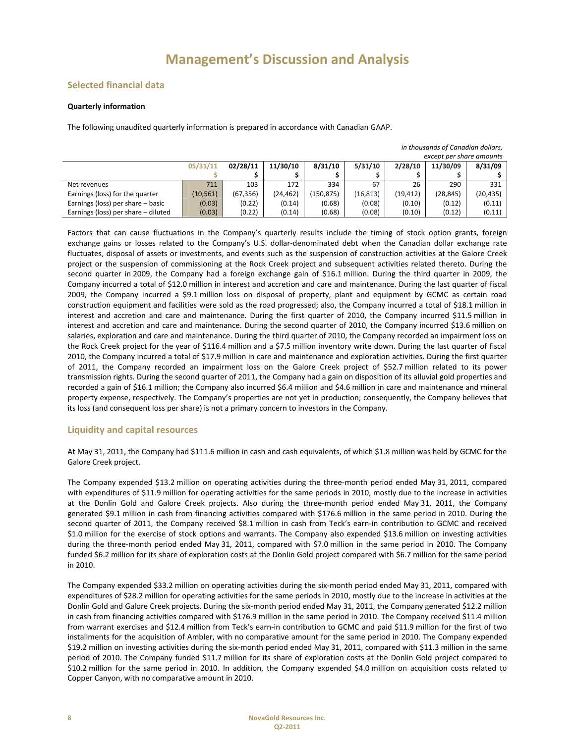## **Selected financial data**

### **Quarterly information**

The following unaudited quarterly information is prepared in accordance with Canadian GAAP.

| in thousands of Canadian dollars,                                             |           |           |          |            |           |           |           |           |
|-------------------------------------------------------------------------------|-----------|-----------|----------|------------|-----------|-----------|-----------|-----------|
| except per share amounts                                                      |           |           |          |            |           |           |           |           |
| 11/30/10<br>02/28/11<br>8/31/10<br>5/31/10<br>2/28/10<br>11/30/09<br>05/31/11 |           |           |          |            |           |           | 8/31/09   |           |
|                                                                               |           |           |          |            |           |           |           |           |
| Net revenues                                                                  | 711       | 103       | 172      | 334        | 67        | 26        | 290       | 331       |
| Earnings (loss) for the quarter                                               | (10, 561) | (67, 356) | (24,462) | (150, 875) | (16, 813) | (19, 412) | (28, 845) | (20, 435) |
| Earnings (loss) per share - basic                                             | (0.03)    | (0.22)    | (0.14)   | (0.68)     | (0.08)    | (0.10)    | (0.12)    | (0.11)    |
| Earnings (loss) per share - diluted                                           | (0.03)    | (0.22)    | (0.14)   | (0.68)     | (0.08)    | (0.10)    | (0.12)    | (0.11)    |

Factors that can cause fluctuations in the Company's quarterly results include the timing of stock option grants, foreign exchange gains or losses related to the Company's U.S. dollar-denominated debt when the Canadian dollar exchange rate fluctuates, disposal of assets or investments, and events such as the suspension of construction activities at the Galore Creek project or the suspension of commissioning at the Rock Creek project and subsequent activities related thereto. During the second quarter in 2009, the Company had a foreign exchange gain of \$16.1 million. During the third quarter in 2009, the Company incurred a total of \$12.0 million in interest and accretion and care and maintenance. During the last quarter of fiscal 2009, the Company incurred a \$9.1 million loss on disposal of property, plant and equipment by GCMC as certain road construction equipment and facilities were sold as the road progressed; also, the Company incurred a total of \$18.1 million in interest and accretion and care and maintenance. During the first quarter of 2010, the Company incurred \$11.5 million in interest and accretion and care and maintenance. During the second quarter of 2010, the Company incurred \$13.6 million on salaries, exploration and care and maintenance. During the third quarter of 2010, the Company recorded an impairment loss on the Rock Creek project for the year of \$116.4 million and a \$7.5 million inventory write down. During the last quarter of fiscal 2010, the Company incurred a total of \$17.9 million in care and maintenance and exploration activities. During the first quarter of 2011, the Company recorded an impairment loss on the Galore Creek project of \$52.7 million related to its power transmission rights. During the second quarter of 2011, the Company had a gain on disposition of its alluvial gold properties and recorded a gain of \$16.1 million; the Company also incurred \$6.4 million and \$4.6 million in care and maintenance and mineral property expense, respectively. The Company's properties are not yet in production; consequently, the Company believes that its loss (and consequent loss per share) is not a primary concern to investors in the Company.

## **Liquidity and capital resources**

At May 31, 2011, the Company had \$111.6 million in cash and cash equivalents, of which \$1.8 million was held by GCMC for the Galore Creek project.

The Company expended \$13.2 million on operating activities during the three‐month period ended May 31, 2011, compared with expenditures of \$11.9 million for operating activities for the same periods in 2010, mostly due to the increase in activities at the Donlin Gold and Galore Creek projects. Also during the three‐month period ended May 31, 2011, the Company generated \$9.1 million in cash from financing activities compared with \$176.6 million in the same period in 2010. During the second quarter of 2011, the Company received \$8.1 million in cash from Teck's earn-in contribution to GCMC and received \$1.0 million for the exercise of stock options and warrants. The Company also expended \$13.6 million on investing activities during the three‐month period ended May 31, 2011, compared with \$7.0 million in the same period in 2010. The Company funded \$6.2 million for its share of exploration costs at the Donlin Gold project compared with \$6.7 million for the same period in 2010.

The Company expended \$33.2 million on operating activities during the six‐month period ended May 31, 2011, compared with expenditures of \$28.2 million for operating activities for the same periods in 2010, mostly due to the increase in activities at the Donlin Gold and Galore Creek projects. During the six‐month period ended May 31, 2011, the Company generated \$12.2 million in cash from financing activities compared with \$176.9 million in the same period in 2010. The Company received \$11.4 million from warrant exercises and \$12.4 million from Teck's earn-in contribution to GCMC and paid \$11.9 million for the first of two installments for the acquisition of Ambler, with no comparative amount for the same period in 2010. The Company expended \$19.2 million on investing activities during the six‐month period ended May 31, 2011, compared with \$11.3 million in the same period of 2010. The Company funded \$11.7 million for its share of exploration costs at the Donlin Gold project compared to \$10.2 million for the same period in 2010. In addition, the Company expended \$4.0 million on acquisition costs related to Copper Canyon, with no comparative amount in 2010.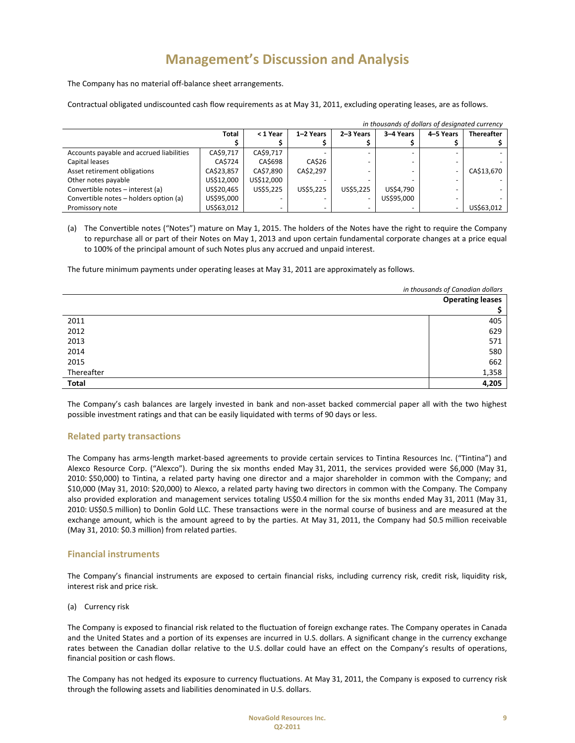The Company has no material off‐balance sheet arrangements.

Contractual obligated undiscounted cash flow requirements as at May 31, 2011, excluding operating leases, are as follows.

|                                          | in thousands of dollars of designated currency |            |           |           |            |                   |            |
|------------------------------------------|------------------------------------------------|------------|-----------|-----------|------------|-------------------|------------|
|                                          | < 1 Year                                       | 1-2 Years  | 2-3 Years | 3-4 Years | 4-5 Years  | <b>Thereafter</b> |            |
|                                          |                                                |            |           |           |            |                   |            |
| Accounts payable and accrued liabilities | CA\$9,717                                      | CA\$9,717  |           |           |            |                   |            |
| Capital leases                           | CA\$724                                        | CA\$698    | CA\$26    |           |            |                   |            |
| Asset retirement obligations             | CA\$23,857                                     | CA\$7,890  | CA\$2,297 |           |            |                   | CA\$13,670 |
| Other notes payable                      | US\$12,000                                     | US\$12.000 |           |           |            |                   |            |
| Convertible notes - interest (a)         | US\$20,465                                     | US\$5,225  | US\$5.225 | US\$5,225 | US\$4,790  |                   |            |
| Convertible notes - holders option (a)   | US\$95,000                                     |            |           | ٠         | US\$95.000 |                   |            |
| Promissory note                          | US\$63,012                                     |            |           |           |            |                   | US\$63,012 |

(a) The Convertible notes ("Notes") mature on May 1, 2015. The holders of the Notes have the right to require the Company to repurchase all or part of their Notes on May 1, 2013 and upon certain fundamental corporate changes at a price equal to 100% of the principal amount of such Notes plus any accrued and unpaid interest.

The future minimum payments under operating leases at May 31, 2011 are approximately as follows.

|            | in thousands of Canadian dollars |  |
|------------|----------------------------------|--|
|            | <b>Operating leases</b>          |  |
|            |                                  |  |
| 2011       | 405                              |  |
| 2012       | 629                              |  |
| 2013       | 571                              |  |
| 2014       | 580                              |  |
| 2015       | 662                              |  |
| Thereafter | 1,358                            |  |
| Total      | 4,205                            |  |

The Company's cash balances are largely invested in bank and non-asset backed commercial paper all with the two highest possible investment ratings and that can be easily liquidated with terms of 90 days or less.

## **Related party transactions**

The Company has arms‐length market‐based agreements to provide certain services to Tintina Resources Inc. ("Tintina") and Alexco Resource Corp. ("Alexco"). During the six months ended May 31, 2011, the services provided were \$6,000 (May 31, 2010: \$50,000) to Tintina, a related party having one director and a major shareholder in common with the Company; and \$10,000 (May 31, 2010: \$20,000) to Alexco, a related party having two directors in common with the Company. The Company also provided exploration and management services totaling US\$0.4 million for the six months ended May 31, 2011 (May 31, 2010: US\$0.5 million) to Donlin Gold LLC. These transactions were in the normal course of business and are measured at the exchange amount, which is the amount agreed to by the parties. At May 31, 2011, the Company had \$0.5 million receivable (May 31, 2010: \$0.3 million) from related parties.

### **Financial instruments**

The Company's financial instruments are exposed to certain financial risks, including currency risk, credit risk, liquidity risk, interest risk and price risk.

(a) Currency risk

The Company is exposed to financial risk related to the fluctuation of foreign exchange rates. The Company operates in Canada and the United States and a portion of its expenses are incurred in U.S. dollars. A significant change in the currency exchange rates between the Canadian dollar relative to the U.S. dollar could have an effect on the Company's results of operations, financial position or cash flows.

The Company has not hedged its exposure to currency fluctuations. At May 31, 2011, the Company is exposed to currency risk through the following assets and liabilities denominated in U.S. dollars.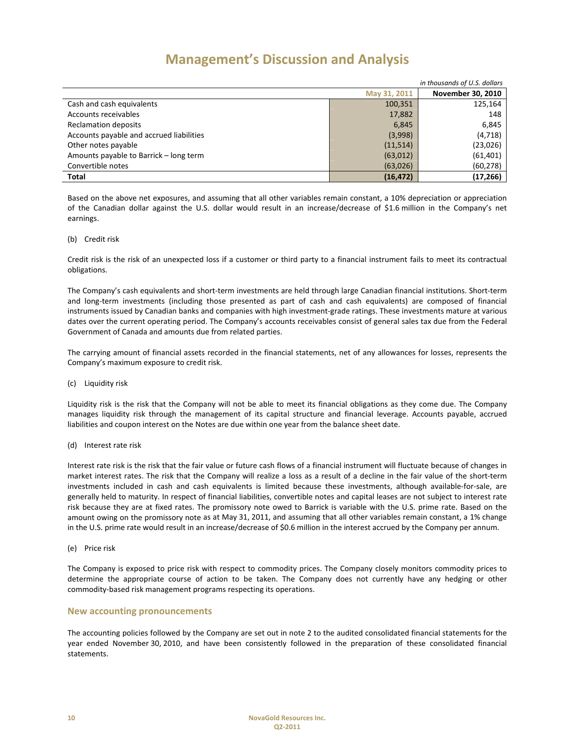| in thousands of U.S. dollars             |              |                          |  |  |
|------------------------------------------|--------------|--------------------------|--|--|
|                                          | May 31, 2011 | <b>November 30, 2010</b> |  |  |
| Cash and cash equivalents                | 100,351      | 125,164                  |  |  |
| Accounts receivables                     | 17,882       | 148                      |  |  |
| <b>Reclamation deposits</b>              | 6,845        | 6,845                    |  |  |
| Accounts payable and accrued liabilities | (3,998)      | (4,718)                  |  |  |
| Other notes payable                      | (11,514)     | (23,026)                 |  |  |
| Amounts payable to Barrick - long term   | (63,012)     | (61, 401)                |  |  |
| Convertible notes                        | (63,026)     | (60, 278)                |  |  |
| Total                                    | (16, 472)    | (17, 266)                |  |  |

Based on the above net exposures, and assuming that all other variables remain constant, a 10% depreciation or appreciation of the Canadian dollar against the U.S. dollar would result in an increase/decrease of \$1.6 million in the Company's net earnings.

### (b) Credit risk

Credit risk is the risk of an unexpected loss if a customer or third party to a financial instrument fails to meet its contractual obligations.

The Company's cash equivalents and short‐term investments are held through large Canadian financial institutions. Short‐term and long‐term investments (including those presented as part of cash and cash equivalents) are composed of financial instruments issued by Canadian banks and companies with high investment‐grade ratings. These investments mature at various dates over the current operating period. The Company's accounts receivables consist of general sales tax due from the Federal Government of Canada and amounts due from related parties.

The carrying amount of financial assets recorded in the financial statements, net of any allowances for losses, represents the Company's maximum exposure to credit risk.

(c) Liquidity risk

Liquidity risk is the risk that the Company will not be able to meet its financial obligations as they come due. The Company manages liquidity risk through the management of its capital structure and financial leverage. Accounts payable, accrued liabilities and coupon interest on the Notes are due within one year from the balance sheet date.

(d) Interest rate risk

Interest rate risk is the risk that the fair value or future cash flows of a financial instrument will fluctuate because of changes in market interest rates. The risk that the Company will realize a loss as a result of a decline in the fair value of the short-term investments included in cash and cash equivalents is limited because these investments, although available‐for‐sale, are generally held to maturity. In respect of financial liabilities, convertible notes and capital leases are not subject to interest rate risk because they are at fixed rates. The promissory note owed to Barrick is variable with the U.S. prime rate. Based on the amount owing on the promissory note as at May 31, 2011, and assuming that all other variables remain constant, a 1% change in the U.S. prime rate would result in an increase/decrease of \$0.6 million in the interest accrued by the Company per annum.

(e) Price risk

The Company is exposed to price risk with respect to commodity prices. The Company closely monitors commodity prices to determine the appropriate course of action to be taken. The Company does not currently have any hedging or other commodity‐based risk management programs respecting its operations.

### **New accounting pronouncements**

The accounting policies followed by the Company are set out in note 2 to the audited consolidated financial statements for the year ended November 30, 2010, and have been consistently followed in the preparation of these consolidated financial statements.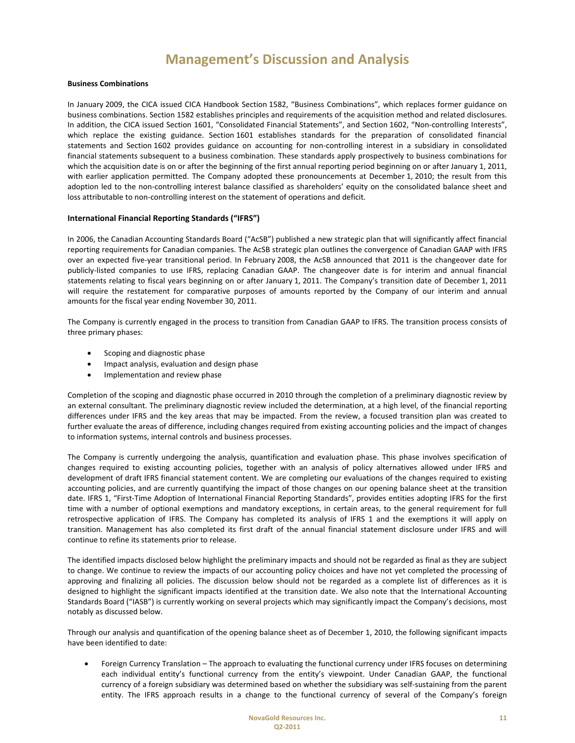### **Business Combinations**

In January 2009, the CICA issued CICA Handbook Section 1582, "Business Combinations", which replaces former guidance on business combinations. Section 1582 establishes principles and requirements of the acquisition method and related disclosures. In addition, the CICA issued Section 1601, "Consolidated Financial Statements", and Section 1602, "Non-controlling Interests", which replace the existing guidance. Section 1601 establishes standards for the preparation of consolidated financial statements and Section 1602 provides guidance on accounting for non-controlling interest in a subsidiary in consolidated financial statements subsequent to a business combination. These standards apply prospectively to business combinations for which the acquisition date is on or after the beginning of the first annual reporting period beginning on or after January 1, 2011, with earlier application permitted. The Company adopted these pronouncements at December 1, 2010; the result from this adoption led to the non‐controlling interest balance classified as shareholders' equity on the consolidated balance sheet and loss attributable to non‐controlling interest on the statement of operations and deficit.

### **International Financial Reporting Standards ("IFRS")**

In 2006, the Canadian Accounting Standards Board ("AcSB") published a new strategic plan that will significantly affect financial reporting requirements for Canadian companies. The AcSB strategic plan outlines the convergence of Canadian GAAP with IFRS over an expected five‐year transitional period. In February 2008, the AcSB announced that 2011 is the changeover date for publicly‐listed companies to use IFRS, replacing Canadian GAAP. The changeover date is for interim and annual financial statements relating to fiscal years beginning on or after January 1, 2011. The Company's transition date of December 1, 2011 will require the restatement for comparative purposes of amounts reported by the Company of our interim and annual amounts for the fiscal year ending November 30, 2011.

The Company is currently engaged in the process to transition from Canadian GAAP to IFRS. The transition process consists of three primary phases:

- Scoping and diagnostic phase
- Impact analysis, evaluation and design phase
- Implementation and review phase

Completion of the scoping and diagnostic phase occurred in 2010 through the completion of a preliminary diagnostic review by an external consultant. The preliminary diagnostic review included the determination, at a high level, of the financial reporting differences under IFRS and the key areas that may be impacted. From the review, a focused transition plan was created to further evaluate the areas of difference, including changes required from existing accounting policies and the impact of changes to information systems, internal controls and business processes.

The Company is currently undergoing the analysis, quantification and evaluation phase. This phase involves specification of changes required to existing accounting policies, together with an analysis of policy alternatives allowed under IFRS and development of draft IFRS financial statement content. We are completing our evaluations of the changes required to existing accounting policies, and are currently quantifying the impact of those changes on our opening balance sheet at the transition date. IFRS 1, "First‐Time Adoption of International Financial Reporting Standards", provides entities adopting IFRS for the first time with a number of optional exemptions and mandatory exceptions, in certain areas, to the general requirement for full retrospective application of IFRS. The Company has completed its analysis of IFRS 1 and the exemptions it will apply on transition. Management has also completed its first draft of the annual financial statement disclosure under IFRS and will continue to refine its statements prior to release.

The identified impacts disclosed below highlight the preliminary impacts and should not be regarded as final as they are subject to change. We continue to review the impacts of our accounting policy choices and have not yet completed the processing of approving and finalizing all policies. The discussion below should not be regarded as a complete list of differences as it is designed to highlight the significant impacts identified at the transition date. We also note that the International Accounting Standards Board ("IASB") is currently working on several projects which may significantly impact the Company's decisions, most notably as discussed below.

Through our analysis and quantification of the opening balance sheet as of December 1, 2010, the following significant impacts have been identified to date:

• Foreign Currency Translation – The approach to evaluating the functional currency under IFRS focuses on determining each individual entity's functional currency from the entity's viewpoint. Under Canadian GAAP, the functional currency of a foreign subsidiary was determined based on whether the subsidiary was self‐sustaining from the parent entity. The IFRS approach results in a change to the functional currency of several of the Company's foreign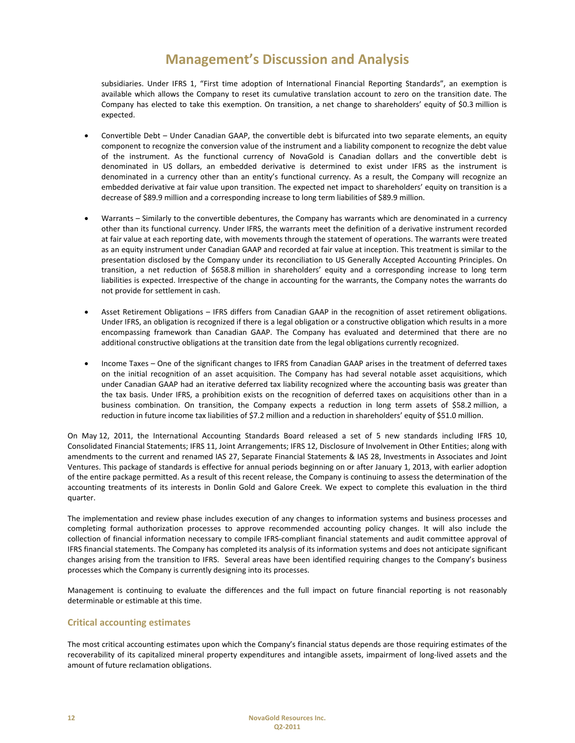subsidiaries. Under IFRS 1, "First time adoption of International Financial Reporting Standards", an exemption is available which allows the Company to reset its cumulative translation account to zero on the transition date. The Company has elected to take this exemption. On transition, a net change to shareholders' equity of \$0.3 million is expected.

- Convertible Debt Under Canadian GAAP, the convertible debt is bifurcated into two separate elements, an equity component to recognize the conversion value of the instrument and a liability component to recognize the debt value of the instrument. As the functional currency of NovaGold is Canadian dollars and the convertible debt is denominated in US dollars, an embedded derivative is determined to exist under IFRS as the instrument is denominated in a currency other than an entity's functional currency. As a result, the Company will recognize an embedded derivative at fair value upon transition. The expected net impact to shareholders' equity on transition is a decrease of \$89.9 million and a corresponding increase to long term liabilities of \$89.9 million.
- Warrants Similarly to the convertible debentures, the Company has warrants which are denominated in a currency other than its functional currency. Under IFRS, the warrants meet the definition of a derivative instrument recorded at fair value at each reporting date, with movements through the statement of operations. The warrants were treated as an equity instrument under Canadian GAAP and recorded at fair value at inception. This treatment is similar to the presentation disclosed by the Company under its reconciliation to US Generally Accepted Accounting Principles. On transition, a net reduction of \$658.8 million in shareholders' equity and a corresponding increase to long term liabilities is expected. Irrespective of the change in accounting for the warrants, the Company notes the warrants do not provide for settlement in cash.
- Asset Retirement Obligations IFRS differs from Canadian GAAP in the recognition of asset retirement obligations. Under IFRS, an obligation is recognized if there is a legal obligation or a constructive obligation which results in a more encompassing framework than Canadian GAAP. The Company has evaluated and determined that there are no additional constructive obligations at the transition date from the legal obligations currently recognized.
- Income Taxes One of the significant changes to IFRS from Canadian GAAP arises in the treatment of deferred taxes on the initial recognition of an asset acquisition. The Company has had several notable asset acquisitions, which under Canadian GAAP had an iterative deferred tax liability recognized where the accounting basis was greater than the tax basis. Under IFRS, a prohibition exists on the recognition of deferred taxes on acquisitions other than in a business combination. On transition, the Company expects a reduction in long term assets of \$58.2 million, a reduction in future income tax liabilities of \$7.2 million and a reduction in shareholders' equity of \$51.0 million.

On May 12, 2011, the International Accounting Standards Board released a set of 5 new standards including IFRS 10, Consolidated Financial Statements; IFRS 11, Joint Arrangements; IFRS 12, Disclosure of Involvement in Other Entities; along with amendments to the current and renamed IAS 27, Separate Financial Statements & IAS 28, Investments in Associates and Joint Ventures. This package of standards is effective for annual periods beginning on or after January 1, 2013, with earlier adoption of the entire package permitted. As a result of this recent release, the Company is continuing to assess the determination of the accounting treatments of its interests in Donlin Gold and Galore Creek. We expect to complete this evaluation in the third quarter.

The implementation and review phase includes execution of any changes to information systems and business processes and completing formal authorization processes to approve recommended accounting policy changes. It will also include the collection of financial information necessary to compile IFRS‐compliant financial statements and audit committee approval of IFRS financial statements. The Company has completed its analysis of its information systems and does not anticipate significant changes arising from the transition to IFRS. Several areas have been identified requiring changes to the Company's business processes which the Company is currently designing into its processes.

Management is continuing to evaluate the differences and the full impact on future financial reporting is not reasonably determinable or estimable at this time.

## **Critical accounting estimates**

The most critical accounting estimates upon which the Company's financial status depends are those requiring estimates of the recoverability of its capitalized mineral property expenditures and intangible assets, impairment of long‐lived assets and the amount of future reclamation obligations.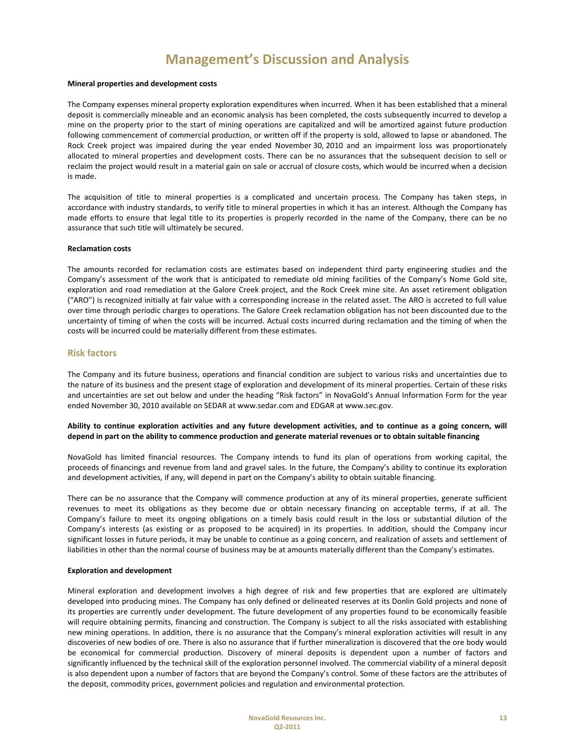#### **Mineral properties and development costs**

The Company expenses mineral property exploration expenditures when incurred. When it has been established that a mineral deposit is commercially mineable and an economic analysis has been completed, the costs subsequently incurred to develop a mine on the property prior to the start of mining operations are capitalized and will be amortized against future production following commencement of commercial production, or written off if the property is sold, allowed to lapse or abandoned. The Rock Creek project was impaired during the year ended November 30, 2010 and an impairment loss was proportionately allocated to mineral properties and development costs. There can be no assurances that the subsequent decision to sell or reclaim the project would result in a material gain on sale or accrual of closure costs, which would be incurred when a decision is made.

The acquisition of title to mineral properties is a complicated and uncertain process. The Company has taken steps, in accordance with industry standards, to verify title to mineral properties in which it has an interest. Although the Company has made efforts to ensure that legal title to its properties is properly recorded in the name of the Company, there can be no assurance that such title will ultimately be secured.

### **Reclamation costs**

The amounts recorded for reclamation costs are estimates based on independent third party engineering studies and the Company's assessment of the work that is anticipated to remediate old mining facilities of the Company's Nome Gold site, exploration and road remediation at the Galore Creek project, and the Rock Creek mine site. An asset retirement obligation ("ARO") is recognized initially at fair value with a corresponding increase in the related asset. The ARO is accreted to full value over time through periodic charges to operations. The Galore Creek reclamation obligation has not been discounted due to the uncertainty of timing of when the costs will be incurred. Actual costs incurred during reclamation and the timing of when the costs will be incurred could be materially different from these estimates.

### **Risk factors**

The Company and its future business, operations and financial condition are subject to various risks and uncertainties due to the nature of its business and the present stage of exploration and development of its mineral properties. Certain of these risks and uncertainties are set out below and under the heading "Risk factors" in NovaGold's Annual Information Form for the year ended November 30, 2010 available on SEDAR at www.sedar.com and EDGAR at www.sec.gov.

### Ability to continue exploration activities and any future development activities, and to continue as a going concern, will depend in part on the ability to commence production and generate material revenues or to obtain suitable financing

NovaGold has limited financial resources. The Company intends to fund its plan of operations from working capital, the proceeds of financings and revenue from land and gravel sales. In the future, the Company's ability to continue its exploration and development activities, if any, will depend in part on the Company's ability to obtain suitable financing.

There can be no assurance that the Company will commence production at any of its mineral properties, generate sufficient revenues to meet its obligations as they become due or obtain necessary financing on acceptable terms, if at all. The Company's failure to meet its ongoing obligations on a timely basis could result in the loss or substantial dilution of the Company's interests (as existing or as proposed to be acquired) in its properties. In addition, should the Company incur significant losses in future periods, it may be unable to continue as a going concern, and realization of assets and settlement of liabilities in other than the normal course of business may be at amounts materially different than the Company's estimates.

### **Exploration and development**

Mineral exploration and development involves a high degree of risk and few properties that are explored are ultimately developed into producing mines. The Company has only defined or delineated reserves at its Donlin Gold projects and none of its properties are currently under development. The future development of any properties found to be economically feasible will require obtaining permits, financing and construction. The Company is subject to all the risks associated with establishing new mining operations. In addition, there is no assurance that the Company's mineral exploration activities will result in any discoveries of new bodies of ore. There is also no assurance that if further mineralization is discovered that the ore body would be economical for commercial production. Discovery of mineral deposits is dependent upon a number of factors and significantly influenced by the technical skill of the exploration personnel involved. The commercial viability of a mineral deposit is also dependent upon a number of factors that are beyond the Company's control. Some of these factors are the attributes of the deposit, commodity prices, government policies and regulation and environmental protection.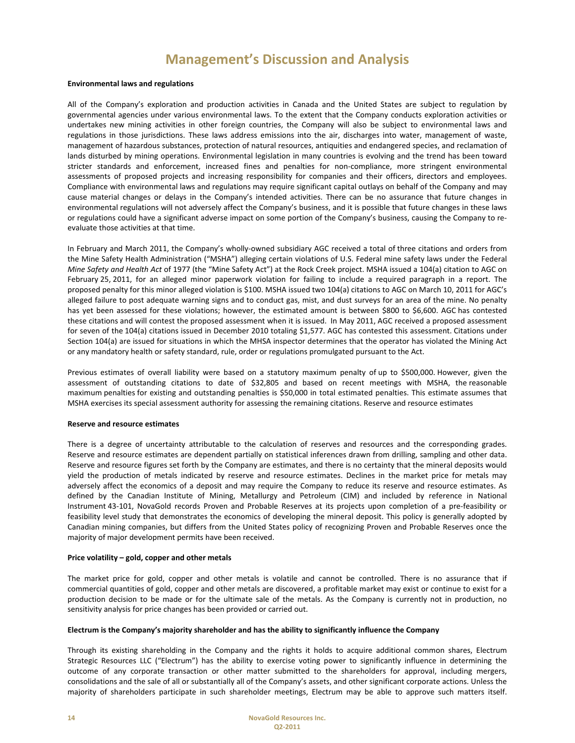### **Environmental laws and regulations**

All of the Company's exploration and production activities in Canada and the United States are subject to regulation by governmental agencies under various environmental laws. To the extent that the Company conducts exploration activities or undertakes new mining activities in other foreign countries, the Company will also be subject to environmental laws and regulations in those jurisdictions. These laws address emissions into the air, discharges into water, management of waste, management of hazardous substances, protection of natural resources, antiquities and endangered species, and reclamation of lands disturbed by mining operations. Environmental legislation in many countries is evolving and the trend has been toward stricter standards and enforcement, increased fines and penalties for non‐compliance, more stringent environmental assessments of proposed projects and increasing responsibility for companies and their officers, directors and employees. Compliance with environmental laws and regulations may require significant capital outlays on behalf of the Company and may cause material changes or delays in the Company's intended activities. There can be no assurance that future changes in environmental regulations will not adversely affect the Company's business, and it is possible that future changes in these laws or regulations could have a significant adverse impact on some portion of the Company's business, causing the Company to re‐ evaluate those activities at that time.

In February and March 2011, the Company's wholly‐owned subsidiary AGC received a total of three citations and orders from the Mine Safety Health Administration ("MSHA") alleging certain violations of U.S. Federal mine safety laws under the Federal *Mine Safety and Health Act* of 1977 (the "Mine Safety Act") at the Rock Creek project. MSHA issued a 104(a) citation to AGC on February 25, 2011, for an alleged minor paperwork violation for failing to include a required paragraph in a report. The proposed penalty for this minor alleged violation is \$100. MSHA issued two 104(a) citations to AGC on March 10, 2011 for AGC's alleged failure to post adequate warning signs and to conduct gas, mist, and dust surveys for an area of the mine. No penalty has yet been assessed for these violations; however, the estimated amount is between \$800 to \$6,600. AGC has contested these citations and will contest the proposed assessment when it is issued. In May 2011, AGC received a proposed assessment for seven of the 104(a) citations issued in December 2010 totaling \$1,577. AGC has contested this assessment. Citations under Section 104(a) are issued for situations in which the MHSA inspector determines that the operator has violated the Mining Act or any mandatory health or safety standard, rule, order or regulations promulgated pursuant to the Act.

Previous estimates of overall liability were based on a statutory maximum penalty of up to \$500,000. However, given the assessment of outstanding citations to date of \$32,805 and based on recent meetings with MSHA, the reasonable maximum penalties for existing and outstanding penalties is \$50,000 in total estimated penalties. This estimate assumes that MSHA exercises its special assessment authority for assessing the remaining citations. Reserve and resource estimates

#### **Reserve and resource estimates**

There is a degree of uncertainty attributable to the calculation of reserves and resources and the corresponding grades. Reserve and resource estimates are dependent partially on statistical inferences drawn from drilling, sampling and other data. Reserve and resource figures set forth by the Company are estimates, and there is no certainty that the mineral deposits would yield the production of metals indicated by reserve and resource estimates. Declines in the market price for metals may adversely affect the economics of a deposit and may require the Company to reduce its reserve and resource estimates. As defined by the Canadian Institute of Mining, Metallurgy and Petroleum (CIM) and included by reference in National Instrument 43‐101, NovaGold records Proven and Probable Reserves at its projects upon completion of a pre‐feasibility or feasibility level study that demonstrates the economics of developing the mineral deposit. This policy is generally adopted by Canadian mining companies, but differs from the United States policy of recognizing Proven and Probable Reserves once the majority of major development permits have been received.

#### **Price volatility – gold, copper and other metals**

The market price for gold, copper and other metals is volatile and cannot be controlled. There is no assurance that if commercial quantities of gold, copper and other metals are discovered, a profitable market may exist or continue to exist for a production decision to be made or for the ultimate sale of the metals. As the Company is currently not in production, no sensitivity analysis for price changes has been provided or carried out.

### **Electrum is the Company's majority shareholder and has the ability to significantly influence the Company**

Through its existing shareholding in the Company and the rights it holds to acquire additional common shares, Electrum Strategic Resources LLC ("Electrum") has the ability to exercise voting power to significantly influence in determining the outcome of any corporate transaction or other matter submitted to the shareholders for approval, including mergers, consolidations and the sale of all or substantially all of the Company's assets, and other significant corporate actions. Unless the majority of shareholders participate in such shareholder meetings, Electrum may be able to approve such matters itself.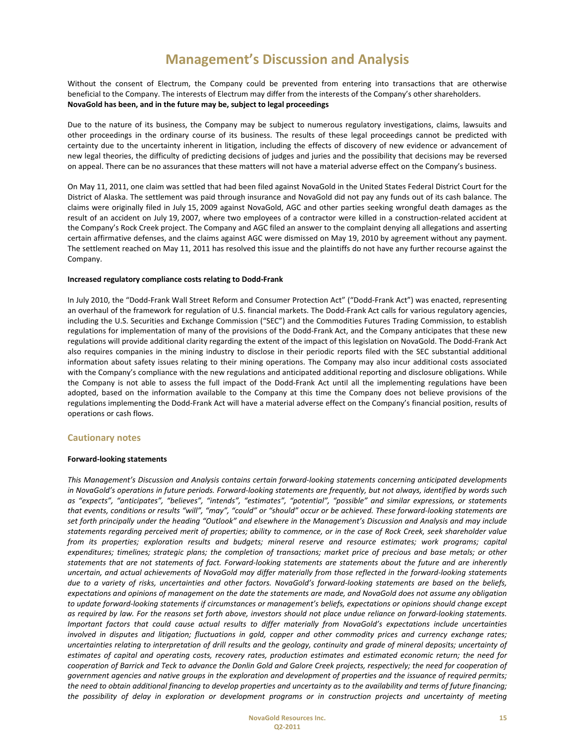Without the consent of Electrum, the Company could be prevented from entering into transactions that are otherwise beneficial to the Company. The interests of Electrum may differ from the interests of the Company's other shareholders. **NovaGold has been, and in the future may be, subject to legal proceedings**

Due to the nature of its business, the Company may be subject to numerous regulatory investigations, claims, lawsuits and other proceedings in the ordinary course of its business. The results of these legal proceedings cannot be predicted with certainty due to the uncertainty inherent in litigation, including the effects of discovery of new evidence or advancement of new legal theories, the difficulty of predicting decisions of judges and juries and the possibility that decisions may be reversed on appeal. There can be no assurances that these matters will not have a material adverse effect on the Company's business.

On May 11, 2011, one claim was settled that had been filed against NovaGold in the United States Federal District Court for the District of Alaska. The settlement was paid through insurance and NovaGold did not pay any funds out of its cash balance. The claims were originally filed in July 15, 2009 against NovaGold, AGC and other parties seeking wrongful death damages as the result of an accident on July 19, 2007, where two employees of a contractor were killed in a construction‐related accident at the Company's Rock Creek project. The Company and AGC filed an answer to the complaint denying all allegations and asserting certain affirmative defenses, and the claims against AGC were dismissed on May 19, 2010 by agreement without any payment. The settlement reached on May 11, 2011 has resolved this issue and the plaintiffs do not have any further recourse against the Company.

### **Increased regulatory compliance costs relating to Dodd‐Frank**

In July 2010, the "Dodd‐Frank Wall Street Reform and Consumer Protection Act" ("Dodd‐Frank Act") was enacted, representing an overhaul of the framework for regulation of U.S. financial markets. The Dodd-Frank Act calls for various regulatory agencies, including the U.S. Securities and Exchange Commission ("SEC") and the Commodities Futures Trading Commission, to establish regulations for implementation of many of the provisions of the Dodd‐Frank Act, and the Company anticipates that these new regulations will provide additional clarity regarding the extent of the impact of this legislation on NovaGold. The Dodd‐Frank Act also requires companies in the mining industry to disclose in their periodic reports filed with the SEC substantial additional information about safety issues relating to their mining operations. The Company may also incur additional costs associated with the Company's compliance with the new regulations and anticipated additional reporting and disclosure obligations. While the Company is not able to assess the full impact of the Dodd-Frank Act until all the implementing regulations have been adopted, based on the information available to the Company at this time the Company does not believe provisions of the regulations implementing the Dodd‐Frank Act will have a material adverse effect on the Company's financial position, results of operations or cash flows.

### **Cautionary notes**

### **Forward‐looking statements**

*This Management's Discussion and Analysis contains certain forward‐looking statements concerning anticipated developments* in NovaGold's operations in future periods. Forward-looking statements are frequently, but not always, identified by words such *as "expects", "anticipates", "believes", "intends", "estimates", "potential", "possible" and similar expressions, or statements* that events, conditions or results "will", "may", "could" or "should" occur or be achieved. These forward-looking statements are set forth principally under the heading "Outlook" and elsewhere in the Management's Discussion and Analysis and may include statements regarding perceived merit of properties; ability to commence, or in the case of Rock Creek, seek shareholder value *from its properties; exploration results and budgets; mineral reserve and resource estimates; work programs; capital* expenditures; timelines; strategic plans; the completion of transactions; market price of precious and base metals; or other statements that are not statements of fact. Forward-looking statements are statements about the future and are inherently uncertain, and actual achievements of NovaGold may differ materially from those reflected in the forward-looking statements due to a variety of risks, uncertainties and other factors. NovaGold's forward-looking statements are based on the beliefs, expectations and opinions of management on the date the statements are made, and NovaGold does not assume any obligation to update forward-looking statements if circumstances or management's beliefs, expectations or opinions should change except as required by law. For the reasons set forth above, investors should not place undue reliance on forward-looking statements. Important factors that could cause actual results to differ materially from NovaGold's expectations include uncertainties involved in disputes and litigation; fluctuations in gold, copper and other commodity prices and currency exchange rates; uncertainties relating to interpretation of drill results and the geology, continuity and grade of mineral deposits; uncertainty of estimates of capital and operating costs, recovery rates, production estimates and estimated economic return; the need for cooperation of Barrick and Teck to advance the Donlin Gold and Galore Creek projects, respectively; the need for cooperation of government agencies and native groups in the exploration and development of properties and the issuance of required permits; the need to obtain additional financing to develop properties and uncertainty as to the availability and terms of future financing; the possibility of delay in exploration or development programs or in construction projects and uncertainty of meeting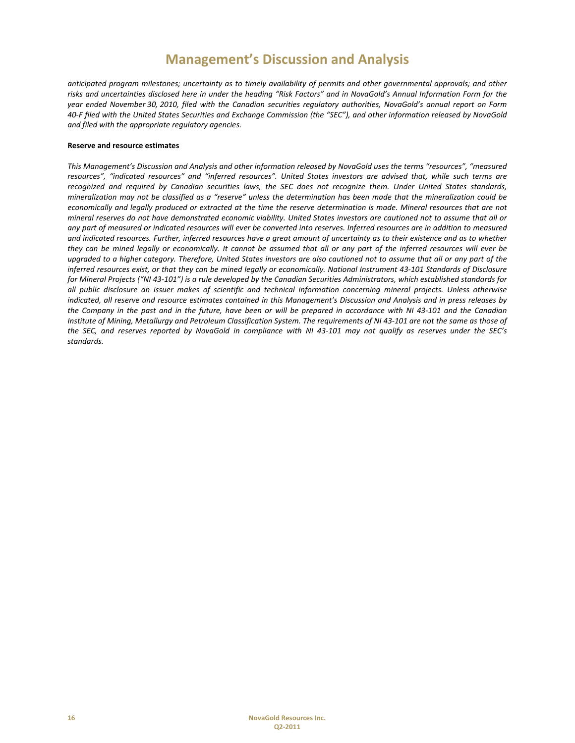anticipated program milestones; uncertainty as to timely availability of permits and other governmental approvals; and other risks and uncertainties disclosed here in under the heading "Risk Factors" and in NovaGold's Annual Information Form for the year ended November 30, 2010, filed with the Canadian securities regulatory authorities, NovaGold's annual report on Form 40-F filed with the United States Securities and Exchange Commission (the "SEC"), and other information released by NovaGold *and filed with the appropriate regulatory agencies.*

### **Reserve and resource estimates**

This Management's Discussion and Analysis and other information released by NovaGold uses the terms "resources", "measured resources", "indicated resources" and "inferred resources". United States investors are advised that, while such terms are recognized and required by Canadian securities laws, the SEC does not recognize them. Under United States standards, mineralization may not be classified as a "reserve" unless the determination has been made that the mineralization could be economically and legally produced or extracted at the time the reserve determination is made. Mineral resources that are not mineral reserves do not have demonstrated economic viability. United States investors are cautioned not to assume that all or any part of measured or indicated resources will ever be converted into reserves. Inferred resources are in addition to measured and indicated resources. Further, inferred resources have a great amount of uncertainty as to their existence and as to whether they can be mined legally or economically. It cannot be assumed that all or any part of the inferred resources will ever be upgraded to a higher category. Therefore, United States investors are also cautioned not to assume that all or any part of the inferred resources exist, or that they can be mined legally or economically. National Instrument 43-101 Standards of Disclosure for Mineral Projects ("NI 43-101") is a rule developed by the Canadian Securities Administrators, which established standards for all public disclosure an issuer makes of scientific and technical information concerning mineral projects. Unless otherwise indicated, all reserve and resource estimates contained in this Management's Discussion and Analysis and in press releases by the Company in the past and in the future, have been or will be prepared in accordance with NI 43-101 and the Canadian Institute of Mining, Metallurgy and Petroleum Classification System. The requirements of NI 43-101 are not the same as those of the SEC, and reserves reported by NovaGold in compliance with NI 43-101 may not qualify as reserves under the SEC's *standards.*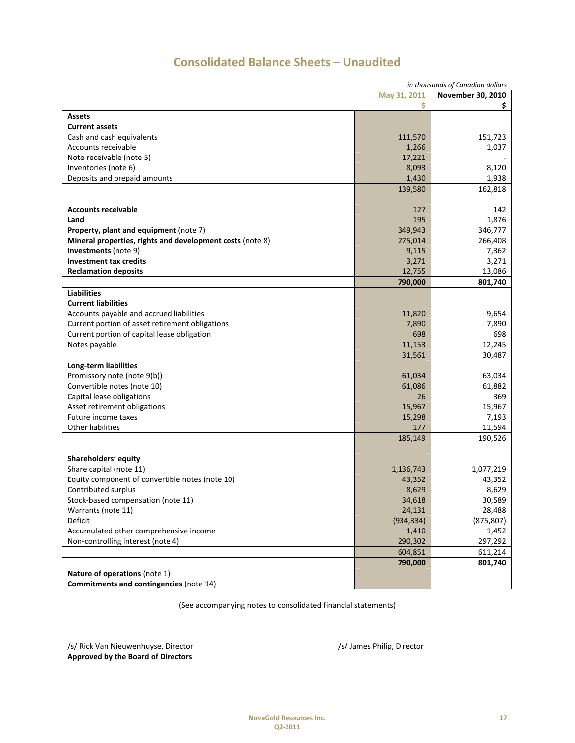|                                                           |            | in thousands of Canadian dollars |  |  |  |
|-----------------------------------------------------------|------------|----------------------------------|--|--|--|
| May 31, 2011<br>November 30, 2010                         |            |                                  |  |  |  |
|                                                           | \$         | Ş.                               |  |  |  |
| Assets                                                    |            |                                  |  |  |  |
| <b>Current assets</b>                                     |            |                                  |  |  |  |
| Cash and cash equivalents                                 | 111,570    | 151,723                          |  |  |  |
| Accounts receivable                                       | 1,266      | 1,037                            |  |  |  |
| Note receivable (note 5)                                  | 17,221     |                                  |  |  |  |
| Inventories (note 6)                                      | 8,093      | 8,120                            |  |  |  |
| Deposits and prepaid amounts                              | 1,430      | 1,938                            |  |  |  |
|                                                           | 139,580    | 162,818                          |  |  |  |
|                                                           |            |                                  |  |  |  |
|                                                           |            |                                  |  |  |  |
| <b>Accounts receivable</b>                                | 127        | 142                              |  |  |  |
| Land                                                      | 195        | 1,876                            |  |  |  |
| Property, plant and equipment (note 7)                    | 349,943    | 346,777                          |  |  |  |
| Mineral properties, rights and development costs (note 8) | 275,014    | 266,408                          |  |  |  |
| Investments (note 9)                                      | 9,115      | 7,362                            |  |  |  |
| <b>Investment tax credits</b>                             | 3,271      | 3,271                            |  |  |  |
| <b>Reclamation deposits</b>                               | 12,755     | 13,086                           |  |  |  |
|                                                           | 790,000    | 801,740                          |  |  |  |
| <b>Liabilities</b>                                        |            |                                  |  |  |  |
| <b>Current liabilities</b>                                |            |                                  |  |  |  |
| Accounts payable and accrued liabilities                  | 11,820     | 9,654                            |  |  |  |
| Current portion of asset retirement obligations           | 7,890      | 7,890                            |  |  |  |
| Current portion of capital lease obligation               | 698        | 698                              |  |  |  |
| Notes payable                                             | 11,153     | 12,245                           |  |  |  |
|                                                           | 31,561     | 30,487                           |  |  |  |
| Long-term liabilities                                     |            |                                  |  |  |  |
| Promissory note (note 9(b))                               | 61,034     | 63,034                           |  |  |  |
| Convertible notes (note 10)                               | 61,086     | 61,882                           |  |  |  |
| Capital lease obligations                                 | 26         | 369                              |  |  |  |
| Asset retirement obligations                              | 15,967     | 15,967                           |  |  |  |
| Future income taxes                                       | 15,298     | 7,193                            |  |  |  |
| <b>Other liabilities</b>                                  | 177        | 11,594                           |  |  |  |
|                                                           | 185,149    | 190,526                          |  |  |  |
|                                                           |            |                                  |  |  |  |
| Shareholders' equity                                      |            |                                  |  |  |  |
| Share capital (note 11)                                   | 1,136,743  | 1,077,219                        |  |  |  |
| Equity component of convertible notes (note 10)           | 43,352     | 43,352                           |  |  |  |
| Contributed surplus                                       | 8,629      | 8,629                            |  |  |  |
| Stock-based compensation (note 11)                        | 34,618     | 30,589                           |  |  |  |
|                                                           | 24,131     | 28,488                           |  |  |  |
| Warrants (note 11)<br>Deficit                             | (934, 334) | (875, 807)                       |  |  |  |
|                                                           |            |                                  |  |  |  |
| Accumulated other comprehensive income                    | 1,410      | 1,452                            |  |  |  |
| Non-controlling interest (note 4)                         | 290,302    | 297,292                          |  |  |  |
|                                                           | 604,851    | 611,214                          |  |  |  |
|                                                           | 790,000    | 801,740                          |  |  |  |
| Nature of operations (note 1)                             |            |                                  |  |  |  |
| Commitments and contingencies (note 14)                   |            |                                  |  |  |  |

# **Consolidated Balance Sheets – Unaudited**

(See accompanying notes to consolidated financial statements)

/s/ Rick Van Nieuwenhuyse, Director /s/ James Philip, Director /s/ James Philip, Director **Approved by the Board of Directors**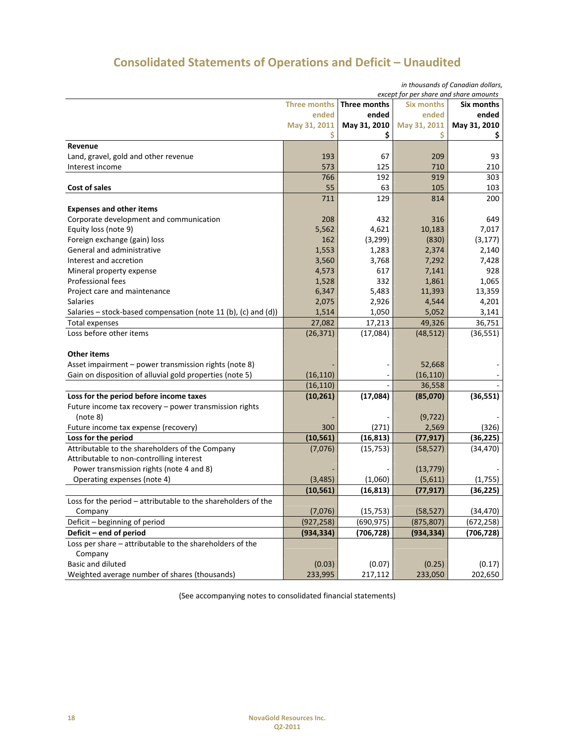# **Consolidated Statements of Operations and Deficit – Unaudited**

|                                                                |                     | in thousands of Canadian dollars,<br>except for per share and share amounts |                   |              |  |  |
|----------------------------------------------------------------|---------------------|-----------------------------------------------------------------------------|-------------------|--------------|--|--|
|                                                                | <b>Three months</b> | Three months                                                                | <b>Six months</b> | Six months   |  |  |
|                                                                | ended               | ended                                                                       | ended             | ended        |  |  |
|                                                                | May 31, 2011        | May 31, 2010                                                                | May 31, 2011      | May 31, 2010 |  |  |
|                                                                | S                   | \$                                                                          | \$                | Ş            |  |  |
| Revenue                                                        |                     |                                                                             |                   |              |  |  |
| Land, gravel, gold and other revenue                           | 193                 | 67                                                                          | 209               | 93           |  |  |
| Interest income                                                | 573                 | 125                                                                         | 710               | 210          |  |  |
|                                                                | 766                 | 192                                                                         | 919               | 303          |  |  |
| Cost of sales                                                  | 55                  | 63                                                                          | 105               | 103          |  |  |
|                                                                | 711                 | 129                                                                         | 814               | 200          |  |  |
| <b>Expenses and other items</b>                                |                     |                                                                             |                   |              |  |  |
| Corporate development and communication                        | 208                 | 432                                                                         | 316               | 649          |  |  |
| Equity loss (note 9)                                           | 5,562               | 4,621                                                                       | 10,183            | 7,017        |  |  |
| Foreign exchange (gain) loss                                   | 162                 | (3, 299)                                                                    | (830)             | (3, 177)     |  |  |
| General and administrative                                     | 1,553               | 1,283                                                                       | 2,374             | 2,140        |  |  |
| Interest and accretion                                         | 3,560               | 3,768                                                                       | 7,292             | 7,428        |  |  |
| Mineral property expense                                       | 4,573               | 617                                                                         | 7,141             | 928          |  |  |
| <b>Professional fees</b>                                       | 1,528               | 332                                                                         | 1,861             | 1,065        |  |  |
| Project care and maintenance                                   | 6,347               | 5,483                                                                       | 11,393            | 13,359       |  |  |
| <b>Salaries</b>                                                | 2,075               | 2,926                                                                       | 4,544             | 4,201        |  |  |
| Salaries – stock-based compensation (note 11 (b), (c) and (d)) | 1,514               | 1,050                                                                       | 5,052             | 3,141        |  |  |
| <b>Total expenses</b>                                          | 27,082              | 17,213                                                                      | 49,326            | 36,751       |  |  |
| Loss before other items                                        | (26, 371)           | (17,084)                                                                    | (48, 512)         | (36, 551)    |  |  |
|                                                                |                     |                                                                             |                   |              |  |  |
| <b>Other items</b>                                             |                     |                                                                             |                   |              |  |  |
| Asset impairment - power transmission rights (note 8)          |                     |                                                                             | 52,668            |              |  |  |
| Gain on disposition of alluvial gold properties (note 5)       | (16, 110)           |                                                                             | (16, 110)         |              |  |  |
|                                                                | (16, 110)           |                                                                             | 36,558            |              |  |  |
| Loss for the period before income taxes                        | (10, 261)           | (17,084)                                                                    | (85,070)          | (36, 551)    |  |  |
| Future income tax recovery - power transmission rights         |                     |                                                                             |                   |              |  |  |
| (note 8)                                                       |                     |                                                                             | (9, 722)          |              |  |  |
| Future income tax expense (recovery)                           | 300                 | (271)                                                                       | 2,569             | (326)        |  |  |
| Loss for the period                                            | (10, 561)           | (16, 813)                                                                   | (77, 917)         | (36, 225)    |  |  |
| Attributable to the shareholders of the Company                | (7,076)             | (15, 753)                                                                   | (58, 527)         | (34, 470)    |  |  |
| Attributable to non-controlling interest                       |                     |                                                                             |                   |              |  |  |
| Power transmission rights (note 4 and 8)                       |                     |                                                                             | (13, 779)         |              |  |  |
| Operating expenses (note 4)                                    | (3, 485)            | (1,060)                                                                     | (5,611)           | (1,755)      |  |  |
|                                                                | (10, 561)           | (16, 813)                                                                   | (77, 917)         | (36, 225)    |  |  |
| Loss for the period – attributable to the shareholders of the  |                     |                                                                             |                   |              |  |  |
| Company                                                        | (7,076)             | (15, 753)                                                                   | (58, 527)         | (34, 470)    |  |  |
| Deficit - beginning of period                                  | (927, 258)          | (690, 975)                                                                  | (875, 807)        | (672, 258)   |  |  |
| Deficit - end of period                                        | (934, 334)          | (706, 728)                                                                  | (934, 334)        | (706, 728)   |  |  |
| Loss per share - attributable to the shareholders of the       |                     |                                                                             |                   |              |  |  |
| Company                                                        |                     |                                                                             |                   |              |  |  |
| Basic and diluted                                              | (0.03)              | (0.07)                                                                      | (0.25)            | (0.17)       |  |  |
| Weighted average number of shares (thousands)                  | 233,995             | 217,112                                                                     | 233,050           | 202,650      |  |  |

(See accompanying notes to consolidated financial statements)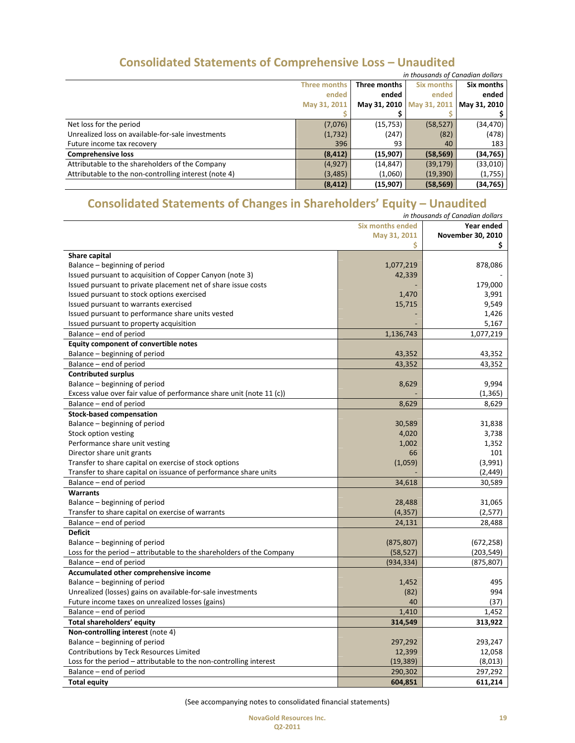|  | <b>Consolidated Statements of Comprehensive Loss - Unaudited</b> |                                |
|--|------------------------------------------------------------------|--------------------------------|
|  |                                                                  | in thousands of Canadian dolla |

|                                                       | in thousands of Canadian dollars                  |           |                           |              |  |
|-------------------------------------------------------|---------------------------------------------------|-----------|---------------------------|--------------|--|
|                                                       | Six months<br><b>Three months</b><br>Three months |           |                           |              |  |
|                                                       | ended                                             | ended     | ended                     | ended        |  |
|                                                       | May 31, 2011                                      |           | May 31, 2010 May 31, 2011 | May 31, 2010 |  |
|                                                       |                                                   |           |                           |              |  |
| Net loss for the period                               | (7,076)                                           | (15, 753) | (58, 527)                 | (34,470)     |  |
| Unrealized loss on available-for-sale investments     | (1,732)                                           | (247)     | (82)                      | (478)        |  |
| Future income tax recovery                            | 396                                               | 93        | 40                        | 183          |  |
| <b>Comprehensive loss</b>                             | (8, 412)                                          | (15,907)  | (58, 569)                 | (34,765)     |  |
| Attributable to the shareholders of the Company       | (4, 927)                                          | (14, 847) | (39, 179)                 | (33,010)     |  |
| Attributable to the non-controlling interest (note 4) | (3, 485)                                          | (1,060)   | (19, 390)                 | (1,755)      |  |
|                                                       | (8, 412)                                          | (15,907)  | (58, 569)                 | (34,765)     |  |

# **Consolidated Statements of Changes in Shareholders' Equity – Unaudited**

|                                                                       |                         | in thousands of Canadian dollars |
|-----------------------------------------------------------------------|-------------------------|----------------------------------|
|                                                                       | <b>Six months ended</b> | Year ended                       |
|                                                                       | May 31, 2011            | November 30, 2010                |
|                                                                       | Ś.                      | \$                               |
| Share capital                                                         |                         |                                  |
| Balance - beginning of period                                         | 1,077,219               | 878,086                          |
| Issued pursuant to acquisition of Copper Canyon (note 3)              | 42,339                  |                                  |
| Issued pursuant to private placement net of share issue costs         |                         | 179,000                          |
| Issued pursuant to stock options exercised                            | 1,470                   | 3,991                            |
| Issued pursuant to warrants exercised                                 | 15,715                  | 9,549                            |
| Issued pursuant to performance share units vested                     |                         | 1,426                            |
| Issued pursuant to property acquisition                               |                         | 5,167                            |
| Balance - end of period                                               | 1,136,743               | 1,077,219                        |
| <b>Equity component of convertible notes</b>                          |                         |                                  |
| Balance – beginning of period                                         | 43,352                  | 43,352                           |
| Balance - end of period                                               | 43,352                  | 43,352                           |
| <b>Contributed surplus</b>                                            |                         |                                  |
| Balance - beginning of period                                         | 8,629                   | 9,994                            |
| Excess value over fair value of performance share unit (note 11 (c))  |                         | (1, 365)                         |
| Balance – end of period                                               | 8,629                   | 8,629                            |
| <b>Stock-based compensation</b>                                       |                         |                                  |
| Balance – beginning of period                                         | 30,589                  | 31,838                           |
| Stock option vesting                                                  | 4,020                   | 3,738                            |
| Performance share unit vesting                                        | 1,002                   | 1,352                            |
| Director share unit grants                                            | 66                      | 101                              |
| Transfer to share capital on exercise of stock options                | (1,059)                 | (3,991)                          |
| Transfer to share capital on issuance of performance share units      |                         | (2, 449)                         |
| Balance - end of period                                               | 34,618                  | 30,589                           |
| <b>Warrants</b>                                                       |                         |                                  |
| Balance - beginning of period                                         | 28,488                  | 31,065                           |
| Transfer to share capital on exercise of warrants                     | (4, 357)                | (2,577)                          |
| Balance - end of period                                               | 24,131                  | 28,488                           |
| <b>Deficit</b>                                                        |                         |                                  |
| Balance – beginning of period                                         | (875, 807)              | (672, 258)                       |
| Loss for the period – attributable to the shareholders of the Company | (58, 527)               | (203, 549)                       |
| Balance - end of period                                               | (934, 334)              | (875, 807)                       |
| Accumulated other comprehensive income                                |                         |                                  |
| Balance - beginning of period                                         | 1,452                   | 495                              |
| Unrealized (losses) gains on available-for-sale investments           | (82)                    | 994                              |
| Future income taxes on unrealized losses (gains)                      | 40                      | (37)                             |
| Balance – end of period                                               | 1,410                   | 1,452                            |
| Total shareholders' equity                                            | 314,549                 | 313,922                          |
| Non-controlling interest (note 4)                                     |                         |                                  |
| Balance - beginning of period                                         | 297,292                 | 293,247                          |
| Contributions by Teck Resources Limited                               | 12,399                  | 12,058                           |
| Loss for the period – attributable to the non-controlling interest    | (19, 389)               | (8,013)                          |
| Balance - end of period                                               | 290,302                 | 297,292                          |
| <b>Total equity</b>                                                   | 604,851                 | 611,214                          |

(See accompanying notes to consolidated financial statements)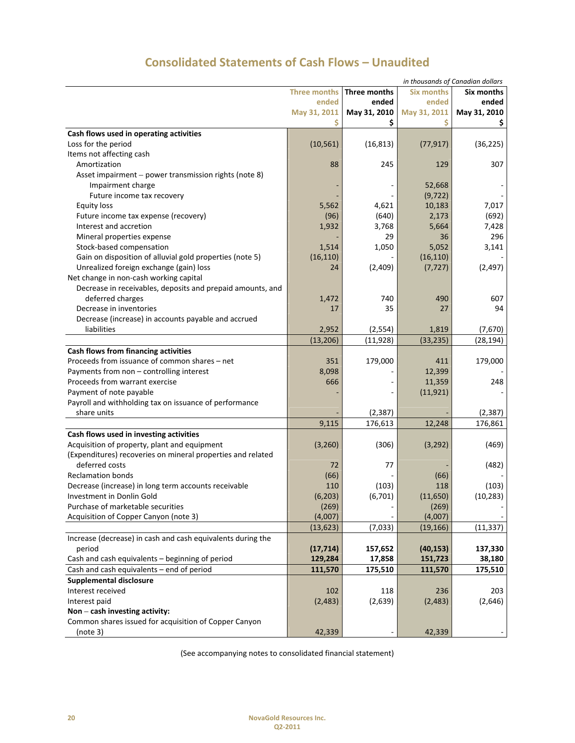|                                                             |                     |                     |                   | in thousands of Canadian dollars |
|-------------------------------------------------------------|---------------------|---------------------|-------------------|----------------------------------|
|                                                             | <b>Three months</b> | <b>Three months</b> | <b>Six months</b> | Six months                       |
|                                                             | ended               | ended               | ended             | ended                            |
|                                                             | May 31, 2011        | May 31, 2010        | May 31, 2011      | May 31, 2010                     |
|                                                             |                     | \$                  | \$                | Ş                                |
| Cash flows used in operating activities                     |                     |                     |                   |                                  |
| Loss for the period                                         | (10, 561)           | (16, 813)           | (77, 917)         | (36, 225)                        |
| Items not affecting cash                                    |                     |                     |                   |                                  |
| Amortization                                                | 88                  | 245                 | 129               | 307                              |
| Asset impairment - power transmission rights (note 8)       |                     |                     |                   |                                  |
| Impairment charge                                           |                     |                     | 52,668            |                                  |
| Future income tax recovery                                  |                     |                     | (9, 722)          |                                  |
| <b>Equity loss</b>                                          | 5,562               | 4,621               | 10,183            | 7,017                            |
| Future income tax expense (recovery)                        | (96)                | (640)               | 2,173             | (692)                            |
| Interest and accretion                                      | 1,932               | 3,768               | 5,664             | 7,428                            |
| Mineral properties expense                                  |                     | 29                  | 36                | 296                              |
| Stock-based compensation                                    | 1,514               | 1,050               | 5,052             | 3,141                            |
| Gain on disposition of alluvial gold properties (note 5)    | (16, 110)           |                     | (16, 110)         |                                  |
| Unrealized foreign exchange (gain) loss                     | 24                  | (2,409)             | (7, 727)          | (2, 497)                         |
| Net change in non-cash working capital                      |                     |                     |                   |                                  |
| Decrease in receivables, deposits and prepaid amounts, and  |                     |                     |                   |                                  |
| deferred charges                                            |                     | 740                 | 490               | 607                              |
|                                                             | 1,472               |                     |                   |                                  |
| Decrease in inventories                                     | 17                  | 35                  | 27                | 94                               |
| Decrease (increase) in accounts payable and accrued         |                     |                     |                   |                                  |
| liabilities                                                 | 2,952               | (2,554)             | 1,819             | (7,670)                          |
|                                                             | (13, 206)           | (11, 928)           | (33, 235)         | (28, 194)                        |
| Cash flows from financing activities                        |                     |                     |                   |                                  |
| Proceeds from issuance of common shares - net               | 351                 | 179,000             | 411               | 179,000                          |
| Payments from non - controlling interest                    | 8,098               |                     | 12,399            |                                  |
| Proceeds from warrant exercise                              | 666                 |                     | 11,359            | 248                              |
| Payment of note payable                                     |                     |                     | (11, 921)         |                                  |
| Payroll and withholding tax on issuance of performance      |                     |                     |                   |                                  |
| share units                                                 |                     | (2, 387)            |                   | (2, 387)                         |
|                                                             | 9,115               | 176,613             | 12,248            | 176,861                          |
| Cash flows used in investing activities                     |                     |                     |                   |                                  |
| Acquisition of property, plant and equipment                | (3, 260)            | (306)               | (3, 292)          | (469)                            |
| (Expenditures) recoveries on mineral properties and related |                     |                     |                   |                                  |
| deferred costs                                              | 72                  | 77                  |                   | (482)                            |
| <b>Reclamation bonds</b>                                    | (66)                |                     | (66)              |                                  |
| Decrease (increase) in long term accounts receivable        | 110                 | (103)               | 118               | (103)                            |
| Investment in Donlin Gold                                   | (6, 203)            | (6,701)             | (11,650)          | (10, 283)                        |
| Purchase of marketable securities                           | (269)               |                     | (269)             |                                  |
| Acquisition of Copper Canyon (note 3)                       | (4,007)             |                     | (4,007)           |                                  |
|                                                             | (13, 623)           | (7,033)             | (19, 166)         | (11, 337)                        |
| Increase (decrease) in cash and cash equivalents during the |                     |                     |                   |                                  |
| period                                                      | (17, 714)           | 157,652             | (40, 153)         | 137,330                          |
| Cash and cash equivalents - beginning of period             | 129,284             | 17,858              | 151,723           | 38,180                           |
| Cash and cash equivalents - end of period                   | 111,570             | 175,510             | 111,570           | 175,510                          |
|                                                             |                     |                     |                   |                                  |
| <b>Supplemental disclosure</b>                              |                     |                     |                   |                                  |
| Interest received                                           | 102                 | 118                 | 236               | 203                              |
| Interest paid                                               | (2, 483)            | (2,639)             | (2, 483)          | (2,646)                          |
| Non - cash investing activity:                              |                     |                     |                   |                                  |
| Common shares issued for acquisition of Copper Canyon       |                     |                     |                   |                                  |
| (note 3)                                                    | 42,339              |                     | 42,339            |                                  |

# **Consolidated Statements of Cash Flows – Unaudited**

(See accompanying notes to consolidated financial statement)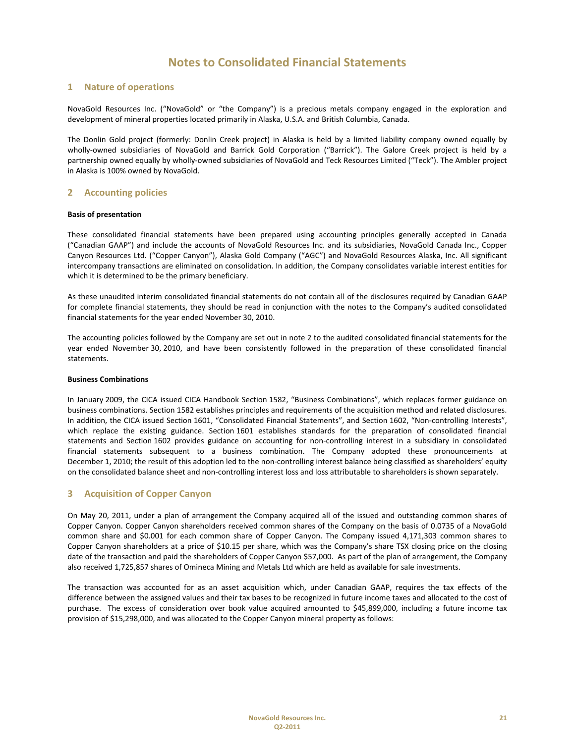## **1 Nature of operations**

NovaGold Resources Inc. ("NovaGold" or "the Company") is a precious metals company engaged in the exploration and development of mineral properties located primarily in Alaska, U.S.A. and British Columbia, Canada.

The Donlin Gold project (formerly: Donlin Creek project) in Alaska is held by a limited liability company owned equally by wholly-owned subsidiaries of NovaGold and Barrick Gold Corporation ("Barrick"). The Galore Creek project is held by a partnership owned equally by wholly-owned subsidiaries of NovaGold and Teck Resources Limited ("Teck"). The Ambler project in Alaska is 100% owned by NovaGold.

### **2 Accounting policies**

### **Basis of presentation**

These consolidated financial statements have been prepared using accounting principles generally accepted in Canada ("Canadian GAAP") and include the accounts of NovaGold Resources Inc. and its subsidiaries, NovaGold Canada Inc., Copper Canyon Resources Ltd. ("Copper Canyon"), Alaska Gold Company ("AGC") and NovaGold Resources Alaska, Inc. All significant intercompany transactions are eliminated on consolidation. In addition, the Company consolidates variable interest entities for which it is determined to be the primary beneficiary.

As these unaudited interim consolidated financial statements do not contain all of the disclosures required by Canadian GAAP for complete financial statements, they should be read in conjunction with the notes to the Company's audited consolidated financial statements for the year ended November 30, 2010.

The accounting policies followed by the Company are set out in note 2 to the audited consolidated financial statements for the year ended November 30, 2010, and have been consistently followed in the preparation of these consolidated financial statements.

### **Business Combinations**

In January 2009, the CICA issued CICA Handbook Section 1582, "Business Combinations", which replaces former guidance on business combinations. Section 1582 establishes principles and requirements of the acquisition method and related disclosures. In addition, the CICA issued Section 1601, "Consolidated Financial Statements", and Section 1602, "Non-controlling Interests", which replace the existing guidance. Section 1601 establishes standards for the preparation of consolidated financial statements and Section 1602 provides guidance on accounting for non-controlling interest in a subsidiary in consolidated financial statements subsequent to a business combination. The Company adopted these pronouncements at December 1, 2010; the result of this adoption led to the non-controlling interest balance being classified as shareholders' equity on the consolidated balance sheet and non‐controlling interest loss and loss attributable to shareholders is shown separately.

### **3 Acquisition of Copper Canyon**

On May 20, 2011, under a plan of arrangement the Company acquired all of the issued and outstanding common shares of Copper Canyon. Copper Canyon shareholders received common shares of the Company on the basis of 0.0735 of a NovaGold common share and \$0.001 for each common share of Copper Canyon. The Company issued 4,171,303 common shares to Copper Canyon shareholders at a price of \$10.15 per share, which was the Company's share TSX closing price on the closing date of the transaction and paid the shareholders of Copper Canyon \$57,000. As part of the plan of arrangement, the Company also received 1,725,857 shares of Omineca Mining and Metals Ltd which are held as available for sale investments.

The transaction was accounted for as an asset acquisition which, under Canadian GAAP, requires the tax effects of the difference between the assigned values and their tax bases to be recognized in future income taxes and allocated to the cost of purchase. The excess of consideration over book value acquired amounted to \$45,899,000, including a future income tax provision of \$15,298,000, and was allocated to the Copper Canyon mineral property as follows: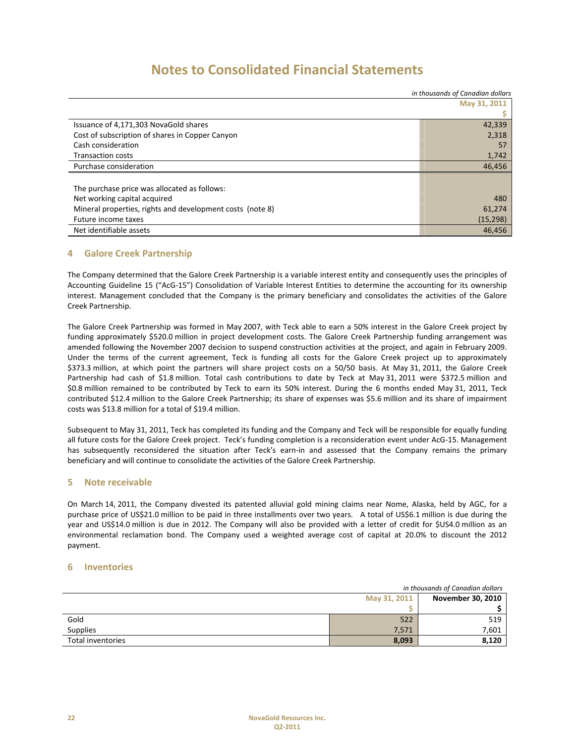|                                                           | in thousands of Canadian dollars |
|-----------------------------------------------------------|----------------------------------|
|                                                           | May 31, 2011                     |
|                                                           |                                  |
| Issuance of 4,171,303 NovaGold shares                     | 42,339                           |
| Cost of subscription of shares in Copper Canyon           | 2,318                            |
| Cash consideration                                        | 57                               |
| <b>Transaction costs</b>                                  | 1,742                            |
| Purchase consideration                                    | 46,456                           |
|                                                           |                                  |
| The purchase price was allocated as follows:              |                                  |
| Net working capital acquired                              | 480                              |
| Mineral properties, rights and development costs (note 8) | 61,274                           |
| Future income taxes                                       | (15, 298)                        |
| Net identifiable assets                                   | 46,456                           |

## **4 Galore Creek Partnership**

The Company determined that the Galore Creek Partnership is a variable interest entity and consequently uses the principles of Accounting Guideline 15 ("AcG‐15") Consolidation of Variable Interest Entities to determine the accounting for its ownership interest. Management concluded that the Company is the primary beneficiary and consolidates the activities of the Galore Creek Partnership.

The Galore Creek Partnership was formed in May 2007, with Teck able to earn a 50% interest in the Galore Creek project by funding approximately \$520.0 million in project development costs. The Galore Creek Partnership funding arrangement was amended following the November 2007 decision to suspend construction activities at the project, and again in February 2009. Under the terms of the current agreement, Teck is funding all costs for the Galore Creek project up to approximately \$373.3 million, at which point the partners will share project costs on a 50/50 basis. At May 31, 2011, the Galore Creek Partnership had cash of \$1.8 million. Total cash contributions to date by Teck at May 31, 2011 were \$372.5 million and \$0.8 million remained to be contributed by Teck to earn its 50% interest. During the 6 months ended May 31, 2011, Teck contributed \$12.4 million to the Galore Creek Partnership; its share of expenses was \$5.6 million and its share of impairment costs was \$13.8 million for a total of \$19.4 million.

Subsequent to May 31, 2011, Teck has completed its funding and the Company and Teck will be responsible for equally funding all future costs for the Galore Creek project. Teck's funding completion is a reconsideration event under AcG‐15. Management has subsequently reconsidered the situation after Teck's earn-in and assessed that the Company remains the primary beneficiary and will continue to consolidate the activities of the Galore Creek Partnership.

## **5 Note receivable**

On March 14, 2011, the Company divested its patented alluvial gold mining claims near Nome, Alaska, held by AGC, for a purchase price of US\$21.0 million to be paid in three installments over two years. A total of US\$6.1 million is due during the year and US\$14.0 million is due in 2012. The Company will also be provided with a letter of credit for \$US4.0 million as an environmental reclamation bond. The Company used a weighted average cost of capital at 20.0% to discount the 2012 payment.

### **6 Inventories**

| in thousands of Canadian dollars |       |                          |
|----------------------------------|-------|--------------------------|
| May 31, 2011                     |       | <b>November 30, 2010</b> |
|                                  |       |                          |
| Gold                             | 522   | 519                      |
| <b>Supplies</b>                  | 7,571 | 7,601                    |
| Total inventories                | 8,093 | 8,120                    |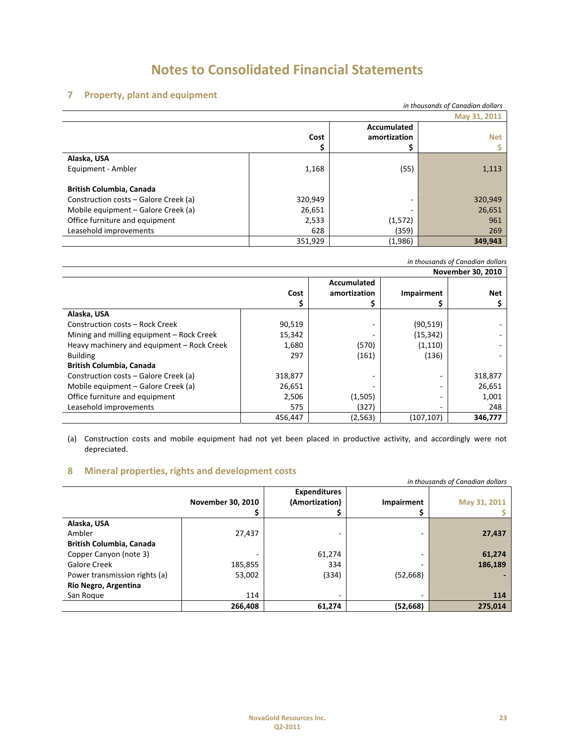## **7 Property, plant and equipment**

|                                       |         |              | in thousands of Canadian dollars |
|---------------------------------------|---------|--------------|----------------------------------|
| May 31, 2011                          |         |              |                                  |
|                                       |         | Accumulated  |                                  |
|                                       | Cost    | amortization | <b>Net</b>                       |
|                                       |         | Ş            |                                  |
| Alaska, USA                           |         |              |                                  |
| Equipment - Ambler                    | 1,168   | (55)         | 1,113                            |
| <b>British Columbia, Canada</b>       |         |              |                                  |
| Construction costs – Galore Creek (a) | 320,949 |              | 320,949                          |
| Mobile equipment - Galore Creek (a)   | 26,651  |              | 26,651                           |
| Office furniture and equipment        | 2,533   | (1,572)      | 961                              |
| Leasehold improvements                | 628     | (359)        | 269                              |
|                                       | 351,929 | (1,986)      | 349,943                          |

| November 30, 2010                          |         |              |            |            |
|--------------------------------------------|---------|--------------|------------|------------|
|                                            |         | Accumulated  |            |            |
|                                            | Cost    | amortization | Impairment | <b>Net</b> |
|                                            |         |              |            |            |
| Alaska, USA                                |         |              |            |            |
| Construction costs - Rock Creek            | 90,519  | ۰            | (90, 519)  |            |
| Mining and milling equipment - Rock Creek  | 15,342  |              | (15, 342)  |            |
| Heavy machinery and equipment - Rock Creek | 1,680   | (570)        | (1, 110)   |            |
| <b>Building</b>                            | 297     | (161)        | (136)      |            |
| <b>British Columbia, Canada</b>            |         |              |            |            |
| Construction costs – Galore Creek (a)      | 318,877 | ۰            |            | 318,877    |
| Mobile equipment - Galore Creek (a)        | 26,651  |              |            | 26,651     |
| Office furniture and equipment             | 2,506   | (1,505)      |            | 1,001      |
| Leasehold improvements                     | 575     | (327)        |            | 248        |
|                                            | 456,447 | (2, 563)     | (107, 107) | 346,777    |

(a) Construction costs and mobile equipment had not yet been placed in productive activity, and accordingly were not depreciated.

## **8 Mineral properties, rights and development costs**

|                                 |                   |                     |                   | in thousands of Canadian dollars |
|---------------------------------|-------------------|---------------------|-------------------|----------------------------------|
|                                 |                   | <b>Expenditures</b> |                   |                                  |
|                                 | November 30, 2010 | (Amortization)      | <b>Impairment</b> | May 31, 2011                     |
|                                 |                   | Ş                   |                   |                                  |
| Alaska, USA                     |                   |                     |                   |                                  |
| Ambler                          | 27,437            | -                   |                   | 27,437                           |
| <b>British Columbia, Canada</b> |                   |                     |                   |                                  |
| Copper Canyon (note 3)          | ٠                 | 61,274              | ۰                 | 61,274                           |
| Galore Creek                    | 185,855           | 334                 | -                 | 186,189                          |
| Power transmission rights (a)   | 53,002            | (334)               | (52, 668)         |                                  |
| Rio Negro, Argentina            |                   |                     |                   |                                  |
| San Roque                       | 114               | ۰                   |                   | 114                              |
|                                 | 266.408           | 61,274              | (52,668)          | 275.014                          |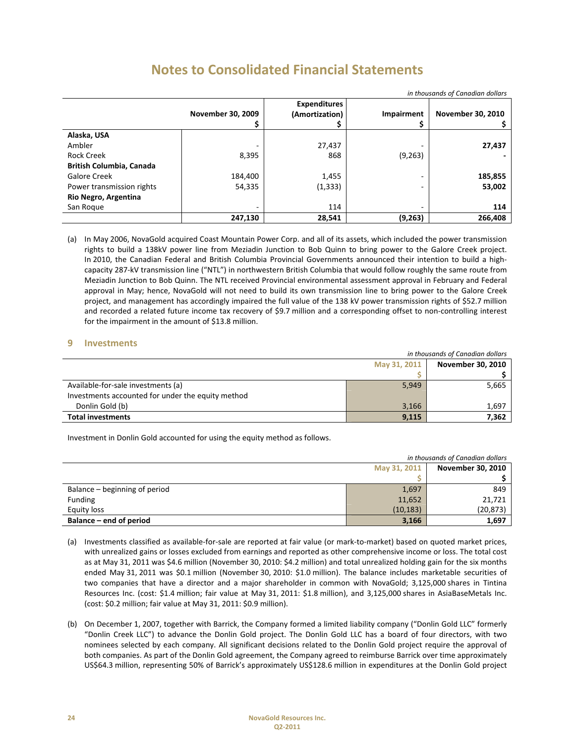| III thousands of Candalah dollars |                   |                     |                   |                          |
|-----------------------------------|-------------------|---------------------|-------------------|--------------------------|
|                                   |                   | <b>Expenditures</b> |                   |                          |
|                                   | November 30, 2009 | (Amortization)      | <b>Impairment</b> | <b>November 30, 2010</b> |
|                                   |                   |                     |                   |                          |
| Alaska, USA                       |                   |                     |                   |                          |
| Ambler                            |                   | 27,437              |                   | 27,437                   |
| Rock Creek                        | 8,395             | 868                 | (9, 263)          |                          |
| <b>British Columbia, Canada</b>   |                   |                     |                   |                          |
| Galore Creek                      | 184,400           | 1,455               | ۰                 | 185,855                  |
| Power transmission rights         | 54,335            | (1, 333)            |                   | 53,002                   |
| Rio Negro, Argentina              |                   |                     |                   |                          |
| San Roque                         | ۰                 | 114                 |                   | 114                      |
|                                   | 247,130           | 28,541              | (9, 263)          | 266,408                  |

*in thousands of Canadian dollars*

(a) In May 2006, NovaGold acquired Coast Mountain Power Corp. and all of its assets, which included the power transmission rights to build a 138kV power line from Meziadin Junction to Bob Quinn to bring power to the Galore Creek project. In 2010, the Canadian Federal and British Columbia Provincial Governments announced their intention to build a high‐ capacity 287‐kV transmission line ("NTL") in northwestern British Columbia that would follow roughly the same route from Meziadin Junction to Bob Quinn. The NTL received Provincial environmental assessment approval in February and Federal approval in May; hence, NovaGold will not need to build its own transmission line to bring power to the Galore Creek project, and management has accordingly impaired the full value of the 138 kV power transmission rights of \$52.7 million and recorded a related future income tax recovery of \$9.7 million and a corresponding offset to non-controlling interest for the impairment in the amount of \$13.8 million.

## **9 Investments**

| in thousands of Canadian dollars                  |       |                   |
|---------------------------------------------------|-------|-------------------|
| May 31, 2011                                      |       | November 30, 2010 |
|                                                   |       |                   |
| Available-for-sale investments (a)                | 5,949 | 5,665             |
| Investments accounted for under the equity method |       |                   |
| Donlin Gold (b)                                   | 3,166 | 1,697             |
| <b>Total investments</b>                          | 9,115 | 7.362             |

Investment in Donlin Gold accounted for using the equity method as follows.

| in thousands of Canadian dollars |           |                   |
|----------------------------------|-----------|-------------------|
| May 31, 2011                     |           | November 30, 2010 |
|                                  |           |                   |
| Balance – beginning of period    | 1,697     | 849               |
| <b>Funding</b>                   | 11,652    | 21,721            |
| Equity loss                      | (10, 183) | (20, 873)         |
| Balance – end of period          | 3,166     | 1,697             |

- (a) Investments classified as available‐for‐sale are reported at fair value (or mark‐to‐market) based on quoted market prices, with unrealized gains or losses excluded from earnings and reported as other comprehensive income or loss. The total cost as at May 31, 2011 was \$4.6 million (November 30, 2010: \$4.2 million) and total unrealized holding gain for the six months ended May 31, 2011 was \$0.1 million (November 30, 2010: \$1.0 million). The balance includes marketable securities of two companies that have a director and a major shareholder in common with NovaGold; 3,125,000 shares in Tintina Resources Inc. (cost: \$1.4 million; fair value at May 31, 2011: \$1.8 million), and 3,125,000 shares in AsiaBaseMetals Inc. (cost: \$0.2 million; fair value at May 31, 2011: \$0.9 million).
- (b) On December 1, 2007, together with Barrick, the Company formed a limited liability company ("Donlin Gold LLC" formerly "Donlin Creek LLC") to advance the Donlin Gold project. The Donlin Gold LLC has a board of four directors, with two nominees selected by each company. All significant decisions related to the Donlin Gold project require the approval of both companies. As part of the Donlin Gold agreement, the Company agreed to reimburse Barrick over time approximately US\$64.3 million, representing 50% of Barrick's approximately US\$128.6 million in expenditures at the Donlin Gold project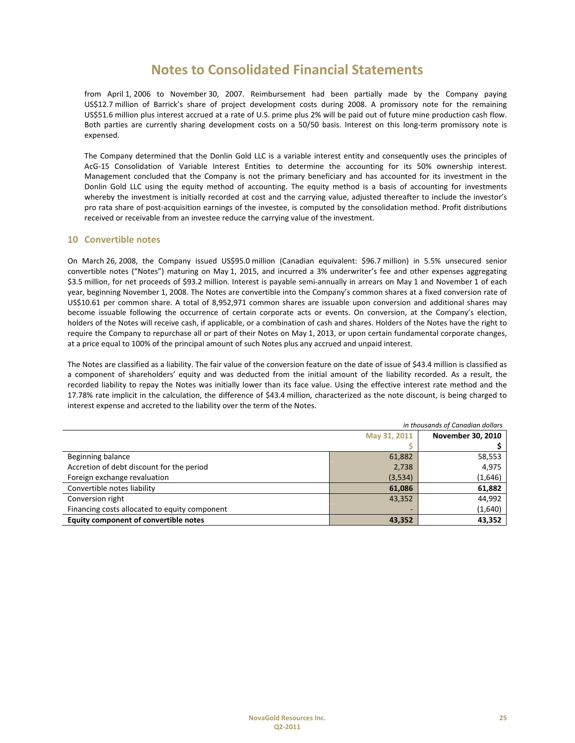from April 1, 2006 to November 30, 2007. Reimbursement had been partially made by the Company paying US\$12.7 million of Barrick's share of project development costs during 2008. A promissory note for the remaining US\$51.6 million plus interest accrued at a rate of U.S. prime plus 2% will be paid out of future mine production cash flow. Both parties are currently sharing development costs on a 50/50 basis. Interest on this long‐term promissory note is expensed.

The Company determined that the Donlin Gold LLC is a variable interest entity and consequently uses the principles of AcG‐15 Consolidation of Variable Interest Entities to determine the accounting for its 50% ownership interest. Management concluded that the Company is not the primary beneficiary and has accounted for its investment in the Donlin Gold LLC using the equity method of accounting. The equity method is a basis of accounting for investments whereby the investment is initially recorded at cost and the carrying value, adjusted thereafter to include the investor's pro rata share of post‐acquisition earnings of the investee, is computed by the consolidation method. Profit distributions received or receivable from an investee reduce the carrying value of the investment.

### **10 Convertible notes**

On March 26, 2008, the Company issued US\$95.0 million (Canadian equivalent: \$96.7 million) in 5.5% unsecured senior convertible notes ("Notes") maturing on May 1, 2015, and incurred a 3% underwriter's fee and other expenses aggregating \$3.5 million, for net proceeds of \$93.2 million. Interest is payable semi-annually in arrears on May 1 and November 1 of each year, beginning November 1, 2008. The Notes are convertible into the Company's common shares at a fixed conversion rate of US\$10.61 per common share. A total of 8,952,971 common shares are issuable upon conversion and additional shares may become issuable following the occurrence of certain corporate acts or events. On conversion, at the Company's election, holders of the Notes will receive cash, if applicable, or a combination of cash and shares. Holders of the Notes have the right to require the Company to repurchase all or part of their Notes on May 1, 2013, or upon certain fundamental corporate changes, at a price equal to 100% of the principal amount of such Notes plus any accrued and unpaid interest.

The Notes are classified as a liability. The fair value of the conversion feature on the date of issue of \$43.4 million is classified as a component of shareholders' equity and was deducted from the initial amount of the liability recorded. As a result, the recorded liability to repay the Notes was initially lower than its face value. Using the effective interest rate method and the 17.78% rate implicit in the calculation, the difference of \$43.4 million, characterized as the note discount, is being charged to interest expense and accreted to the liability over the term of the Notes.

| in thousands of Canadian dollars              |         |                          |
|-----------------------------------------------|---------|--------------------------|
| May 31, 2011                                  |         | <b>November 30, 2010</b> |
|                                               |         |                          |
| Beginning balance                             | 61,882  | 58,553                   |
| Accretion of debt discount for the period     | 2,738   | 4,975                    |
| Foreign exchange revaluation                  | (3,534) | (1,646)                  |
| Convertible notes liability                   | 61,086  | 61,882                   |
| Conversion right                              | 43,352  | 44,992                   |
| Financing costs allocated to equity component |         | (1,640)                  |
| Equity component of convertible notes         | 43,352  | 43,352                   |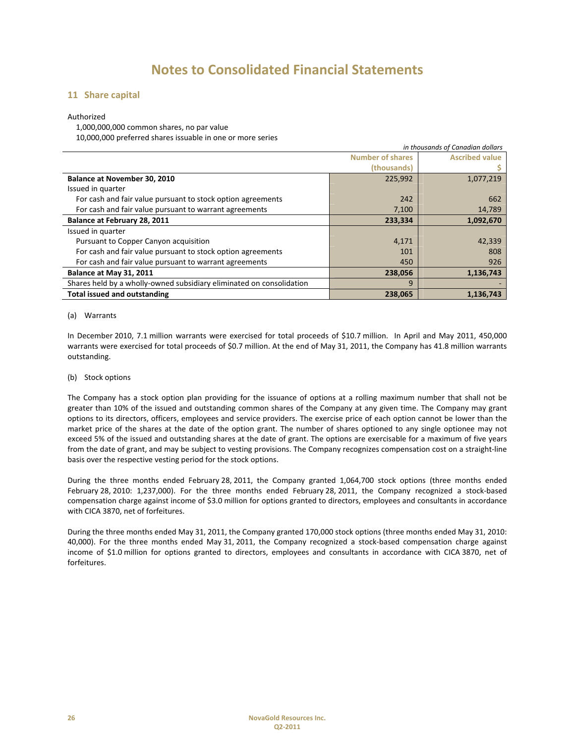### **11 Share capital**

### Authorized

1,000,000,000 common shares, no par value

10,000,000 preferred shares issuable in one or more series

| in thousands of Canadian dollars                                     |                         |                       |
|----------------------------------------------------------------------|-------------------------|-----------------------|
|                                                                      | <b>Number of shares</b> | <b>Ascribed value</b> |
|                                                                      | (thousands)             |                       |
| Balance at November 30, 2010                                         | 225,992                 | 1,077,219             |
| Issued in quarter                                                    |                         |                       |
| For cash and fair value pursuant to stock option agreements          | 242                     | 662                   |
| For cash and fair value pursuant to warrant agreements               | 7,100                   | 14,789                |
| Balance at February 28, 2011                                         | 233,334                 | 1,092,670             |
| Issued in quarter                                                    |                         |                       |
| Pursuant to Copper Canyon acquisition                                | 4,171                   | 42,339                |
| For cash and fair value pursuant to stock option agreements          | 101                     | 808                   |
| For cash and fair value pursuant to warrant agreements               | 450                     | 926                   |
| Balance at May 31, 2011                                              | 238,056                 | 1,136,743             |
| Shares held by a wholly-owned subsidiary eliminated on consolidation | 9                       |                       |
| <b>Total issued and outstanding</b>                                  | 238,065                 | 1,136,743             |

### (a) Warrants

In December 2010, 7.1 million warrants were exercised for total proceeds of \$10.7 million. In April and May 2011, 450,000 warrants were exercised for total proceeds of \$0.7 million. At the end of May 31, 2011, the Company has 41.8 million warrants outstanding.

### (b) Stock options

The Company has a stock option plan providing for the issuance of options at a rolling maximum number that shall not be greater than 10% of the issued and outstanding common shares of the Company at any given time. The Company may grant options to its directors, officers, employees and service providers. The exercise price of each option cannot be lower than the market price of the shares at the date of the option grant. The number of shares optioned to any single optionee may not exceed 5% of the issued and outstanding shares at the date of grant. The options are exercisable for a maximum of five years from the date of grant, and may be subject to vesting provisions. The Company recognizes compensation cost on a straight‐line basis over the respective vesting period for the stock options.

During the three months ended February 28, 2011, the Company granted 1,064,700 stock options (three months ended February 28, 2010: 1,237,000). For the three months ended February 28, 2011, the Company recognized a stock-based compensation charge against income of \$3.0 million for options granted to directors, employees and consultants in accordance with CICA 3870, net of forfeitures.

During the three months ended May 31, 2011, the Company granted 170,000 stock options (three months ended May 31, 2010: 40,000). For the three months ended May 31, 2011, the Company recognized a stock‐based compensation charge against income of \$1.0 million for options granted to directors, employees and consultants in accordance with CICA 3870, net of forfeitures.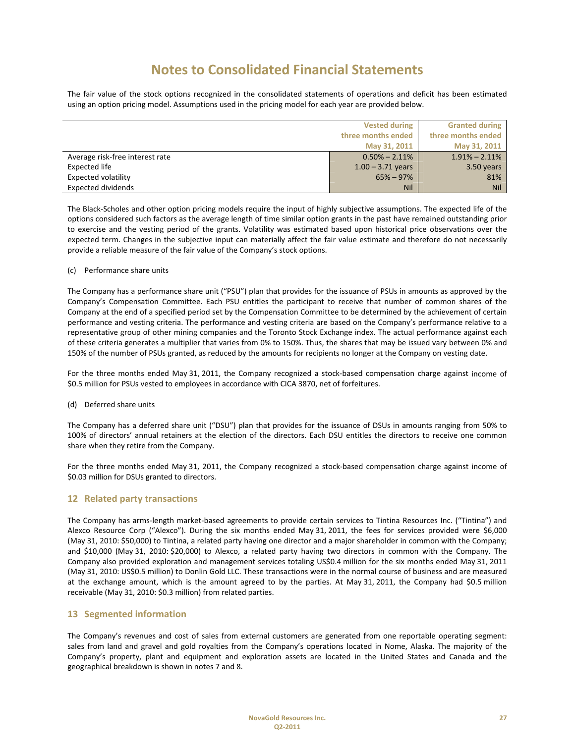The fair value of the stock options recognized in the consolidated statements of operations and deficit has been estimated using an option pricing model. Assumptions used in the pricing model for each year are provided below.

|                                 | <b>Vested during</b> | <b>Granted during</b> |
|---------------------------------|----------------------|-----------------------|
|                                 | three months ended   | three months ended    |
|                                 | May 31, 2011         | May 31, 2011          |
| Average risk-free interest rate | $0.50\% - 2.11\%$    | $1.91\% - 2.11\%$     |
| <b>Expected life</b>            | $1.00 - 3.71$ years  | 3.50 years            |
| Expected volatility             | $65\% - 97\%$        | 81%                   |
| <b>Expected dividends</b>       | <b>Nil</b>           | <b>Nil</b>            |

The Black‐Scholes and other option pricing models require the input of highly subjective assumptions. The expected life of the options considered such factors as the average length of time similar option grants in the past have remained outstanding prior to exercise and the vesting period of the grants. Volatility was estimated based upon historical price observations over the expected term. Changes in the subjective input can materially affect the fair value estimate and therefore do not necessarily provide a reliable measure of the fair value of the Company's stock options.

### (c) Performance share units

The Company has a performance share unit ("PSU") plan that provides for the issuance of PSUs in amounts as approved by the Company's Compensation Committee. Each PSU entitles the participant to receive that number of common shares of the Company at the end of a specified period set by the Compensation Committee to be determined by the achievement of certain performance and vesting criteria. The performance and vesting criteria are based on the Company's performance relative to a representative group of other mining companies and the Toronto Stock Exchange index. The actual performance against each of these criteria generates a multiplier that varies from 0% to 150%. Thus, the shares that may be issued vary between 0% and 150% of the number of PSUs granted, as reduced by the amounts for recipients no longer at the Company on vesting date.

For the three months ended May 31, 2011, the Company recognized a stock-based compensation charge against income of \$0.5 million for PSUs vested to employees in accordance with CICA 3870, net of forfeitures.

### (d) Deferred share units

The Company has a deferred share unit ("DSU") plan that provides for the issuance of DSUs in amounts ranging from 50% to 100% of directors' annual retainers at the election of the directors. Each DSU entitles the directors to receive one common share when they retire from the Company.

For the three months ended May 31, 2011, the Company recognized a stock-based compensation charge against income of \$0.03 million for DSUs granted to directors.

### **12 Related party transactions**

The Company has arms‐length market‐based agreements to provide certain services to Tintina Resources Inc. ("Tintina") and Alexco Resource Corp ("Alexco"). During the six months ended May 31, 2011, the fees for services provided were \$6,000 (May 31, 2010: \$50,000) to Tintina, a related party having one director and a major shareholder in common with the Company; and \$10,000 (May 31, 2010: \$20,000) to Alexco, a related party having two directors in common with the Company. The Company also provided exploration and management services totaling US\$0.4 million for the six months ended May 31, 2011 (May 31, 2010: US\$0.5 million) to Donlin Gold LLC. These transactions were in the normal course of business and are measured at the exchange amount, which is the amount agreed to by the parties. At May 31, 2011, the Company had \$0.5 million receivable (May 31, 2010: \$0.3 million) from related parties.

### **13 Segmented information**

The Company's revenues and cost of sales from external customers are generated from one reportable operating segment: sales from land and gravel and gold royalties from the Company's operations located in Nome, Alaska. The majority of the Company's property, plant and equipment and exploration assets are located in the United States and Canada and the geographical breakdown is shown in notes 7 and 8.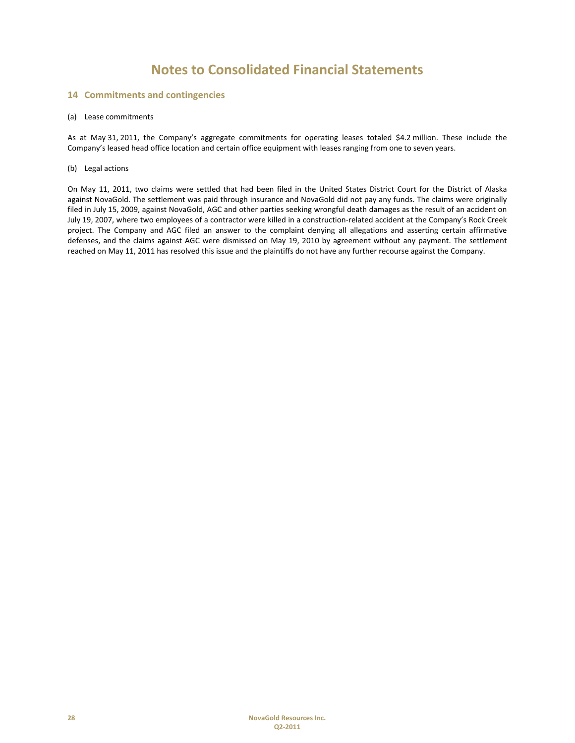### **14 Commitments and contingencies**

#### (a) Lease commitments

As at May 31, 2011, the Company's aggregate commitments for operating leases totaled \$4.2 million. These include the Company's leased head office location and certain office equipment with leases ranging from one to seven years.

#### (b) Legal actions

On May 11, 2011, two claims were settled that had been filed in the United States District Court for the District of Alaska against NovaGold. The settlement was paid through insurance and NovaGold did not pay any funds. The claims were originally filed in July 15, 2009, against NovaGold, AGC and other parties seeking wrongful death damages as the result of an accident on July 19, 2007, where two employees of a contractor were killed in a construction‐related accident at the Company's Rock Creek project. The Company and AGC filed an answer to the complaint denying all allegations and asserting certain affirmative defenses, and the claims against AGC were dismissed on May 19, 2010 by agreement without any payment. The settlement reached on May 11, 2011 has resolved this issue and the plaintiffs do not have any further recourse against the Company.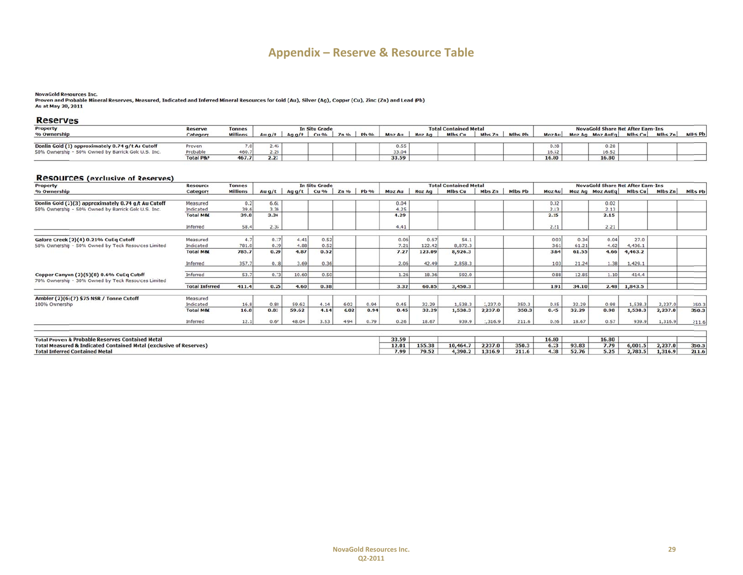## **Ap pendix – Re serve & Resource Table**

#### **NovaGold Resources Inc.**

Proven and Probable Mineral Reserves, Measured, Indicated and Inferred Mineral Resources for Gold (Au), Silver (Ag), Copper (Cu), Zinc (Zn) and Lead (Pb) As at May 20, 2011

#### **Reserves**

| Property                                            | <b>Reserve</b>       | <b>Tonnes</b>   | In Situ Grade |          |      | <b>Total Contained Metal</b> |             |               |               |                | NovaGold Share Net After Earn-Ins |         |        |  |                 |         |         |         |
|-----------------------------------------------------|----------------------|-----------------|---------------|----------|------|------------------------------|-------------|---------------|---------------|----------------|-----------------------------------|---------|--------|--|-----------------|---------|---------|---------|
| % Ownership                                         | Category             | <b>Millions</b> | Au $q/t$      | Ag $q/t$ | Cu % | $Zn$ %                       | <b>Pb</b> % | <b>Moz Au</b> | <b>Moz Ag</b> | <b>Mlbs Cu</b> | Mbs Zn                            | Mlbs Pb | Moz Au |  | Moz Ag Moz AuEq | Mlbs Cu | Mlbs Zn | Mlbs Pb |
|                                                     |                      |                 |               |          |      |                              |             |               |               |                |                                   |         |        |  |                 |         |         |         |
| Donlin Gold (1) approximately 0.74 g/t Au Cutoff    | Proven               |                 | 4.46          |          |      |                              |             |               |               |                |                                   |         |        |  | 0.28            |         |         |         |
| 50% Ownership - 50% Owned by Barrick Gold U.S. Inc. | Probable             | 460.7           | 2.23          |          |      |                              |             | 33.04         |               |                |                                   |         | 16.52  |  | 16.52           |         |         |         |
|                                                     | <b>Total P&amp;P</b> | 467.7           | 2.23          |          |      |                              |             | 33.59         |               |                |                                   |         | 16.80  |  | 16.80           |         |         |         |

#### **Resources (exclusive of Reserves)**

| Property<br><b>Tonnes</b><br><b>Resource</b>                                                    |                       |                 | <b>In Situ Grade</b> |       |              | <b>Total Contained Metal</b> |             |               |               |                | <b>NovaGold Share Net After Earn-Ins</b> |                |        |       |                                 |                |         |         |
|-------------------------------------------------------------------------------------------------|-----------------------|-----------------|----------------------|-------|--------------|------------------------------|-------------|---------------|---------------|----------------|------------------------------------------|----------------|--------|-------|---------------------------------|----------------|---------|---------|
| % Ownership                                                                                     | Category              | <b>Millions</b> | Au $q/t$             |       | Agg/t $Cu %$ | $Zn\%$                       | <b>Pb</b> % | <b>Moz Au</b> | <b>Moz Ag</b> | <b>Mlbs Cu</b> | Mbs Zn                                   | <b>Mlbs Pb</b> | Moz Au |       | Moz Ag Moz AuEq Mlbs Cu Mlbs Zn |                |         | Mlbs Pb |
|                                                                                                 |                       |                 |                      |       |              |                              |             |               |               |                |                                          |                |        |       |                                 |                |         |         |
| Donlin Gold (2)(3) approximately 0.74 g/t Au Cutoff                                             | Measured              | 0.2             | 6.61                 |       |              |                              |             | 0.04          |               |                |                                          |                | 0.02   |       | 0.02                            |                |         |         |
| 50% Ownership - 50% Owned by Barrick Gold U.S. Inc.                                             | Indicated             | 39.6            | 3.34                 |       |              |                              |             | 4.25          |               |                |                                          |                | 2.13   |       | 2.13                            |                |         |         |
|                                                                                                 | <b>Total M&amp;I</b>  | 39.8            | 3.36                 |       |              |                              |             | 4.29          |               |                |                                          |                | 2.15   |       | 2.15                            |                |         |         |
|                                                                                                 | Inferred              | 58.4            | 2.35                 |       |              |                              |             | 4.41          |               |                |                                          |                | 2.21   |       | 2.21                            |                |         |         |
| Galore Creek (2)(4) 0.21% CuEq Cutoff                                                           | Measured              | 4.7             | 0.37                 | 4.41  | 0.52         |                              |             | 0.06          | 0.67          | 54.1           |                                          |                | 0.03   | 0.34  | 0.04                            | 27.0           |         |         |
| 50% Ownership - 50% Owned by Teck Resources Limited                                             | Indicated             | 781.0           | 0.29                 | 4.88  | 0.52         |                              |             | 7.21          | 122.42        | 8,872.3        |                                          |                | 3.61   | 61.21 | 4.62                            | 4,436.1        |         |         |
|                                                                                                 | <b>Total M&amp;L</b>  | 785.7           | 0.29                 | 4.87  | 0.52         |                              |             | 7.27          | 123.09        | 8,926.3        |                                          |                | 3.64   | 61.55 | 4.66                            | 4,463.2        |         |         |
|                                                                                                 | Inferred              | 357.7           | 0.18                 | 3.69  | 0.36         |                              |             | 2.06          | 42.49         | 2,858.3        |                                          |                | 1.03   | 21.24 | 1.38                            | 1,429.1        |         |         |
| Copper Canyon (2)(5)(8) 0.6% CuEq Cutoff<br>70% Ownership - 30% Owned by Teck Resources Limited | Inferred              | 53.7            | 0.73                 | 10.60 | 0.50         |                              |             | 1.26          | 18.36         | 592.0          |                                          |                | 0.88   | 12.85 | 1.10                            | 414.4          |         |         |
|                                                                                                 | <b>Total Inferred</b> | 411.4           | 0.25                 | 4.60  | 0.38         |                              |             | 3.32          | 60.85         | 3,450.3        |                                          |                | 1.91   | 34.10 |                                 | $2.48$ 1,843.5 |         |         |
| Ambler (2)(6)(7) \$75 NSR / Tonne Cutoff                                                        | Measured              |                 |                      |       |              |                              |             |               |               |                |                                          |                |        |       |                                 |                |         |         |
| 100% Ownership                                                                                  | Indicated             | 16.8            | 0.83                 | 59.62 | 4.14         | 6.02                         | 0.94        | 0.45          | 32.29         | 1,538.3        | 2,237.0                                  | 350.3          | 0.45   | 32.29 | 0.98                            | 1,538.3        | 2,237.0 | 350.3   |
|                                                                                                 | <b>Total M&amp;I</b>  | 16.8            | 0.83                 | 59.62 | 4.14         | 6.02                         | 0.94        | 0.45          | 32.29         | 1,538.3        | 2,237.0                                  | 350.3          | 0.45   | 32.29 | 0.98                            | 1,538.3        | 2,237.0 | 350.3   |
|                                                                                                 | Inferred              | 12.1            | 0.67                 | 48.04 | 3.53         | 4.94                         | 0.79        | 0.26          | 18.67         | 939.9          | 1,316.9                                  | 211.6          | 0.26   | 18.67 | 0.57                            | 939.9          | 1,316.9 | 211.6   |
|                                                                                                 |                       |                 |                      |       |              |                              |             |               |               |                |                                          |                |        |       |                                 |                |         |         |
| <b>Total Proven &amp; Probable Reserves Contained Metal</b>                                     |                       |                 |                      |       |              |                              |             | 33.59         |               |                |                                          |                | 16.80  |       | 16.80                           |                |         |         |
| <b>Total Measured &amp; Indicated Contained Metal (exclusive of Reserves)</b>                   |                       |                 |                      |       |              |                              |             | 12.01         | 155.38        | 10,464.7       | 2,237.0                                  | 350.3          | 6.23   | 93.83 | 7.79                            | 6,001.5        | 2,237.0 | 350.3   |
| <b>Total Inferred Contained Metal</b>                                                           |                       |                 |                      |       |              |                              |             | 7.99          | 79.52         | 4,390.2        | 1,316.9                                  | 211.6          | 4.38   | 52.76 | 5.25                            | 2,783.5        | 1,316.9 | 211.6   |